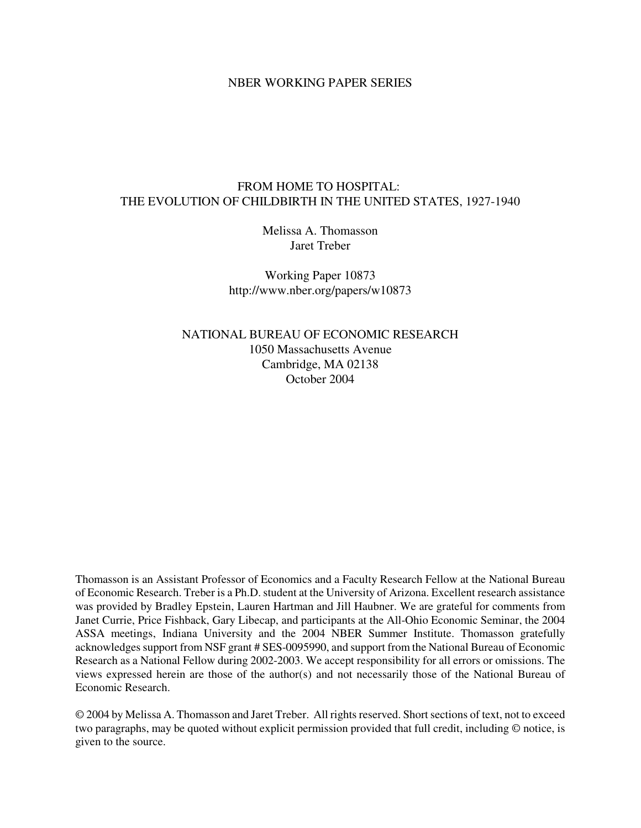### NBER WORKING PAPER SERIES

# FROM HOME TO HOSPITAL: THE EVOLUTION OF CHILDBIRTH IN THE UNITED STATES, 1927-1940

Melissa A. Thomasson Jaret Treber

Working Paper 10873 http://www.nber.org/papers/w10873

NATIONAL BUREAU OF ECONOMIC RESEARCH 1050 Massachusetts Avenue Cambridge, MA 02138 October 2004

Thomasson is an Assistant Professor of Economics and a Faculty Research Fellow at the National Bureau of Economic Research. Treber is a Ph.D. student at the University of Arizona. Excellent research assistance was provided by Bradley Epstein, Lauren Hartman and Jill Haubner. We are grateful for comments from Janet Currie, Price Fishback, Gary Libecap, and participants at the All-Ohio Economic Seminar, the 2004 ASSA meetings, Indiana University and the 2004 NBER Summer Institute. Thomasson gratefully acknowledges support from NSF grant # SES-0095990, and support from the National Bureau of Economic Research as a National Fellow during 2002-2003. We accept responsibility for all errors or omissions. The views expressed herein are those of the author(s) and not necessarily those of the National Bureau of Economic Research.

© 2004 by Melissa A. Thomasson and Jaret Treber. All rights reserved. Short sections of text, not to exceed two paragraphs, may be quoted without explicit permission provided that full credit, including © notice, is given to the source.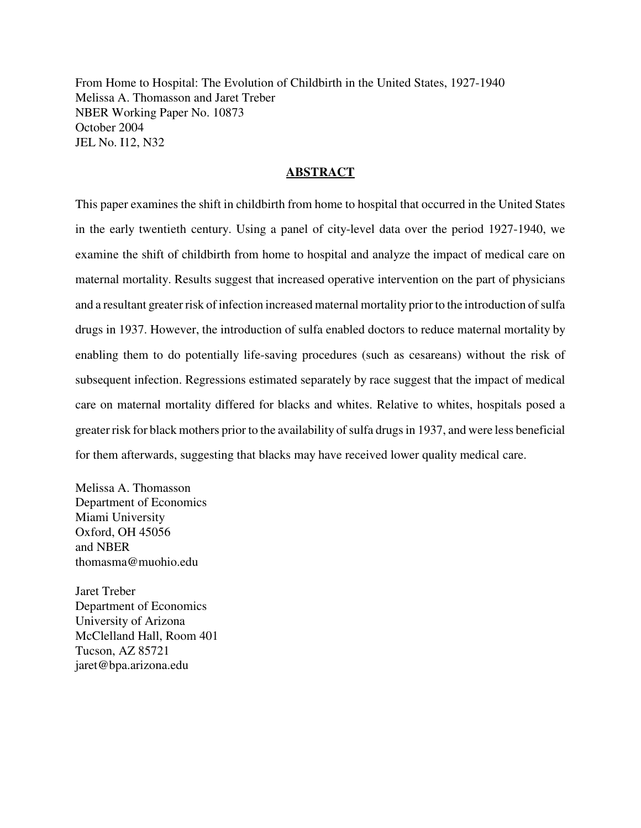From Home to Hospital: The Evolution of Childbirth in the United States, 1927-1940 Melissa A. Thomasson and Jaret Treber NBER Working Paper No. 10873 October 2004 JEL No. I12, N32

# **ABSTRACT**

This paper examines the shift in childbirth from home to hospital that occurred in the United States in the early twentieth century. Using a panel of city-level data over the period 1927-1940, we examine the shift of childbirth from home to hospital and analyze the impact of medical care on maternal mortality. Results suggest that increased operative intervention on the part of physicians and a resultant greater risk of infection increased maternal mortality prior to the introduction of sulfa drugs in 1937. However, the introduction of sulfa enabled doctors to reduce maternal mortality by enabling them to do potentially life-saving procedures (such as cesareans) without the risk of subsequent infection. Regressions estimated separately by race suggest that the impact of medical care on maternal mortality differed for blacks and whites. Relative to whites, hospitals posed a greater risk for black mothers prior to the availability of sulfa drugs in 1937, and were less beneficial for them afterwards, suggesting that blacks may have received lower quality medical care.

Melissa A. Thomasson Department of Economics Miami University Oxford, OH 45056 and NBER thomasma@muohio.edu

Jaret Treber Department of Economics University of Arizona McClelland Hall, Room 401 Tucson, AZ 85721 jaret@bpa.arizona.edu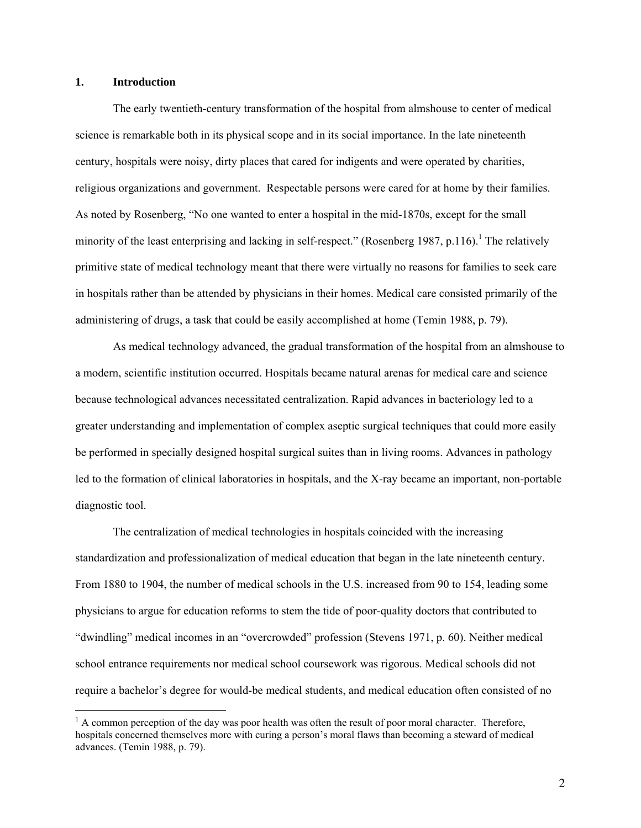### **1. Introduction**

 $\overline{a}$ 

The early twentieth-century transformation of the hospital from almshouse to center of medical science is remarkable both in its physical scope and in its social importance. In the late nineteenth century, hospitals were noisy, dirty places that cared for indigents and were operated by charities, religious organizations and government. Respectable persons were cared for at home by their families. As noted by Rosenberg, "No one wanted to enter a hospital in the mid-1870s, except for the small minority of the least enterprising and lacking in self-respect." (Rosenberg 1987, p[.1](#page-2-0)16).<sup>1</sup> The relatively primitive state of medical technology meant that there were virtually no reasons for families to seek care in hospitals rather than be attended by physicians in their homes. Medical care consisted primarily of the administering of drugs, a task that could be easily accomplished at home (Temin 1988, p. 79).

As medical technology advanced, the gradual transformation of the hospital from an almshouse to a modern, scientific institution occurred. Hospitals became natural arenas for medical care and science because technological advances necessitated centralization. Rapid advances in bacteriology led to a greater understanding and implementation of complex aseptic surgical techniques that could more easily be performed in specially designed hospital surgical suites than in living rooms. Advances in pathology led to the formation of clinical laboratories in hospitals, and the X-ray became an important, non-portable diagnostic tool.

The centralization of medical technologies in hospitals coincided with the increasing standardization and professionalization of medical education that began in the late nineteenth century. From 1880 to 1904, the number of medical schools in the U.S. increased from 90 to 154, leading some physicians to argue for education reforms to stem the tide of poor-quality doctors that contributed to "dwindling" medical incomes in an "overcrowded" profession (Stevens 1971, p. 60). Neither medical school entrance requirements nor medical school coursework was rigorous. Medical schools did not require a bachelor's degree for would-be medical students, and medical education often consisted of no

<span id="page-2-0"></span> $<sup>1</sup>$  A common perception of the day was poor health was often the result of poor moral character. Therefore,</sup> hospitals concerned themselves more with curing a person's moral flaws than becoming a steward of medical advances. (Temin 1988, p. 79).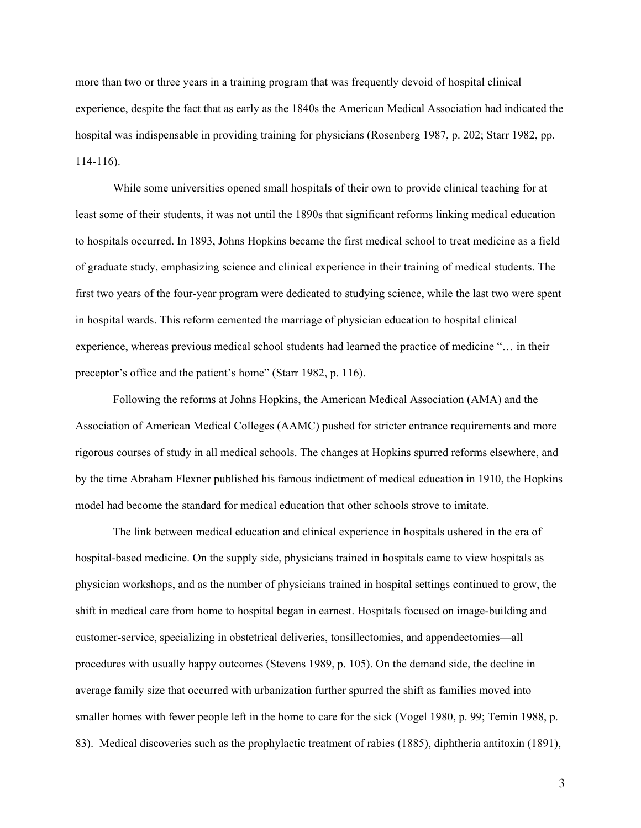more than two or three years in a training program that was frequently devoid of hospital clinical experience, despite the fact that as early as the 1840s the American Medical Association had indicated the hospital was indispensable in providing training for physicians (Rosenberg 1987, p. 202; Starr 1982, pp. 114-116).

While some universities opened small hospitals of their own to provide clinical teaching for at least some of their students, it was not until the 1890s that significant reforms linking medical education to hospitals occurred. In 1893, Johns Hopkins became the first medical school to treat medicine as a field of graduate study, emphasizing science and clinical experience in their training of medical students. The first two years of the four-year program were dedicated to studying science, while the last two were spent in hospital wards. This reform cemented the marriage of physician education to hospital clinical experience, whereas previous medical school students had learned the practice of medicine "… in their preceptor's office and the patient's home" (Starr 1982, p. 116).

Following the reforms at Johns Hopkins, the American Medical Association (AMA) and the Association of American Medical Colleges (AAMC) pushed for stricter entrance requirements and more rigorous courses of study in all medical schools. The changes at Hopkins spurred reforms elsewhere, and by the time Abraham Flexner published his famous indictment of medical education in 1910, the Hopkins model had become the standard for medical education that other schools strove to imitate.

The link between medical education and clinical experience in hospitals ushered in the era of hospital-based medicine. On the supply side, physicians trained in hospitals came to view hospitals as physician workshops, and as the number of physicians trained in hospital settings continued to grow, the shift in medical care from home to hospital began in earnest. Hospitals focused on image-building and customer-service, specializing in obstetrical deliveries, tonsillectomies, and appendectomies—all procedures with usually happy outcomes (Stevens 1989, p. 105). On the demand side, the decline in average family size that occurred with urbanization further spurred the shift as families moved into smaller homes with fewer people left in the home to care for the sick (Vogel 1980, p. 99; Temin 1988, p. 83). Medical discoveries such as the prophylactic treatment of rabies (1885), diphtheria antitoxin (1891),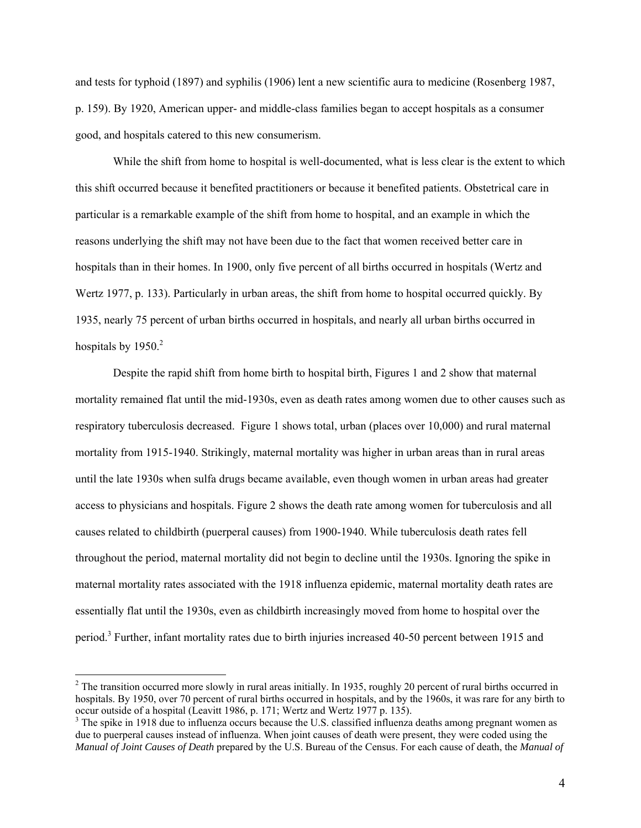and tests for typhoid (1897) and syphilis (1906) lent a new scientific aura to medicine (Rosenberg 1987, p. 159). By 1920, American upper- and middle-class families began to accept hospitals as a consumer good, and hospitals catered to this new consumerism.

While the shift from home to hospital is well-documented, what is less clear is the extent to which this shift occurred because it benefited practitioners or because it benefited patients. Obstetrical care in particular is a remarkable example of the shift from home to hospital, and an example in which the reasons underlying the shift may not have been due to the fact that women received better care in hospitals than in their homes. In 1900, only five percent of all births occurred in hospitals (Wertz and Wertz 1977, p. 133). Particularly in urban areas, the shift from home to hospital occurred quickly. By 1935, nearly 75 percent of urban births occurred in hospitals, and nearly all urban births occurred in hospitals by  $1950<sup>2</sup>$ 

Despite the rapid shift from home birth to hospital birth, Figures 1 and 2 show that maternal mortality remained flat until the mid-1930s, even as death rates among women due to other causes such as respiratory tuberculosis decreased. Figure 1 shows total, urban (places over 10,000) and rural maternal mortality from 1915-1940. Strikingly, maternal mortality was higher in urban areas than in rural areas until the late 1930s when sulfa drugs became available, even though women in urban areas had greater access to physicians and hospitals. Figure 2 shows the death rate among women for tuberculosis and all causes related to childbirth (puerperal causes) from 1900-1940. While tuberculosis death rates fell throughout the period, maternal mortality did not begin to decline until the 1930s. Ignoring the spike in maternal mortality rates associated with the 1918 influenza epidemic, maternal mortality death rates are essentially flat until the 1930s, even as childbirth increasingly moved from home to hospital over the period.<sup>[3](#page-4-1)</sup> Further, infant mortality rates due to birth injuries increased 40-50 percent between 1915 and

<span id="page-4-0"></span> $2^2$  The transition occurred more slowly in rural areas initially. In 1935, roughly 20 percent of rural births occurred in hospitals. By 1950, over 70 percent of rural births occurred in hospitals, and by the 1960s, it was rare for any birth to occur outside of a hospital (Leavitt 1986, p. 171; Wertz and Wertz 1977 p. 135).

<span id="page-4-1"></span> $3$  The spike in 1918 due to influenza occurs because the U.S. classified influenza deaths among pregnant women as due to puerperal causes instead of influenza. When joint causes of death were present, they were coded using the *Manual of Joint Causes of Death* prepared by the U.S. Bureau of the Census. For each cause of death, the *Manual of*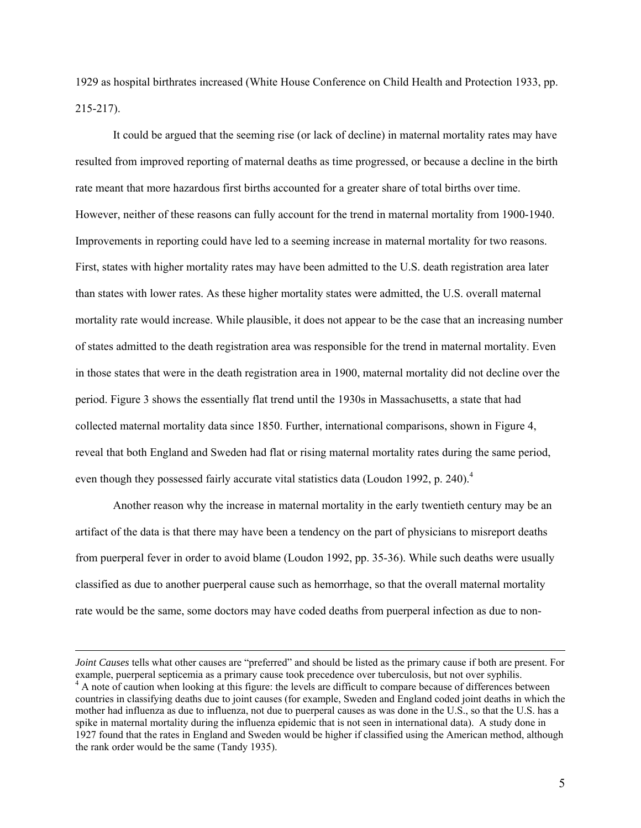1929 as hospital birthrates increased (White House Conference on Child Health and Protection 1933, pp. 215-217).

It could be argued that the seeming rise (or lack of decline) in maternal mortality rates may have resulted from improved reporting of maternal deaths as time progressed, or because a decline in the birth rate meant that more hazardous first births accounted for a greater share of total births over time. However, neither of these reasons can fully account for the trend in maternal mortality from 1900-1940. Improvements in reporting could have led to a seeming increase in maternal mortality for two reasons. First, states with higher mortality rates may have been admitted to the U.S. death registration area later than states with lower rates. As these higher mortality states were admitted, the U.S. overall maternal mortality rate would increase. While plausible, it does not appear to be the case that an increasing number of states admitted to the death registration area was responsible for the trend in maternal mortality. Even in those states that were in the death registration area in 1900, maternal mortality did not decline over the period. Figure 3 shows the essentially flat trend until the 1930s in Massachusetts, a state that had collected maternal mortality data since 1850. Further, international comparisons, shown in Figure 4, reveal that both England and Sweden had flat or rising maternal mortality rates during the same period, even though they possessed fairly accurate vital statistics data (Loudon 1992, p. 2[4](#page-5-0)0).<sup>4</sup>

Another reason why the increase in maternal mortality in the early twentieth century may be an artifact of the data is that there may have been a tendency on the part of physicians to misreport deaths from puerperal fever in order to avoid blame (Loudon 1992, pp. 35-36). While such deaths were usually classified as due to another puerperal cause such as hemorrhage, so that the overall maternal mortality rate would be the same, some doctors may have coded deaths from puerperal infection as due to non-

<span id="page-5-0"></span>*Joint Causes* tells what other causes are "preferred" and should be listed as the primary cause if both are present. For example, puerperal septicemia as a primary cause took precedence over tuberculosis, but not over syphilis. 4 <sup>4</sup> A note of caution when looking at this figure: the levels are difficult to compare because of differences between countries in classifying deaths due to joint causes (for example, Sweden and England coded joint deaths in which the mother had influenza as due to influenza, not due to puerperal causes as was done in the U.S., so that the U.S. has a spike in maternal mortality during the influenza epidemic that is not seen in international data). A study done in 1927 found that the rates in England and Sweden would be higher if classified using the American method, although the rank order would be the same (Tandy 1935).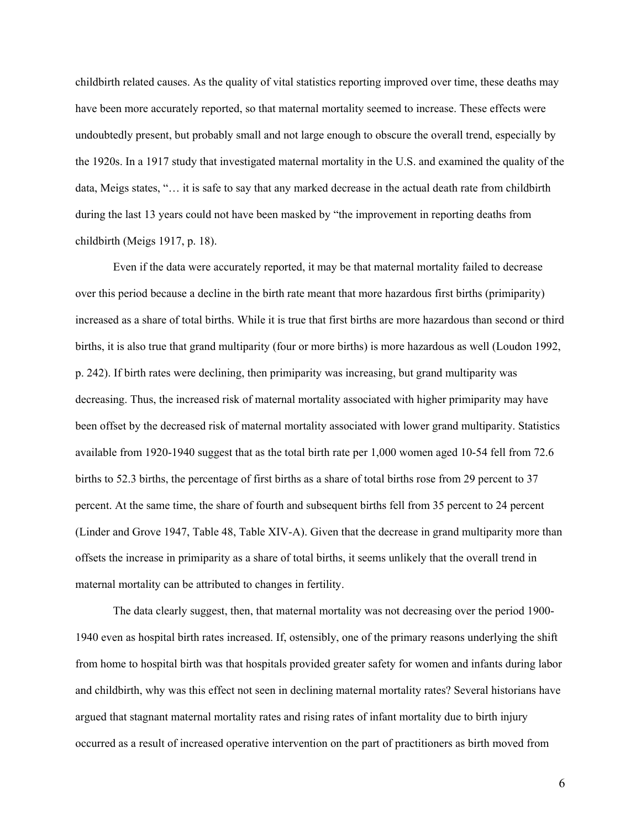childbirth related causes. As the quality of vital statistics reporting improved over time, these deaths may have been more accurately reported, so that maternal mortality seemed to increase. These effects were undoubtedly present, but probably small and not large enough to obscure the overall trend, especially by the 1920s. In a 1917 study that investigated maternal mortality in the U.S. and examined the quality of the data, Meigs states, "… it is safe to say that any marked decrease in the actual death rate from childbirth during the last 13 years could not have been masked by "the improvement in reporting deaths from childbirth (Meigs 1917, p. 18).

Even if the data were accurately reported, it may be that maternal mortality failed to decrease over this period because a decline in the birth rate meant that more hazardous first births (primiparity) increased as a share of total births. While it is true that first births are more hazardous than second or third births, it is also true that grand multiparity (four or more births) is more hazardous as well (Loudon 1992, p. 242). If birth rates were declining, then primiparity was increasing, but grand multiparity was decreasing. Thus, the increased risk of maternal mortality associated with higher primiparity may have been offset by the decreased risk of maternal mortality associated with lower grand multiparity. Statistics available from 1920-1940 suggest that as the total birth rate per 1,000 women aged 10-54 fell from 72.6 births to 52.3 births, the percentage of first births as a share of total births rose from 29 percent to 37 percent. At the same time, the share of fourth and subsequent births fell from 35 percent to 24 percent (Linder and Grove 1947, Table 48, Table XIV-A). Given that the decrease in grand multiparity more than offsets the increase in primiparity as a share of total births, it seems unlikely that the overall trend in maternal mortality can be attributed to changes in fertility.

The data clearly suggest, then, that maternal mortality was not decreasing over the period 1900- 1940 even as hospital birth rates increased. If, ostensibly, one of the primary reasons underlying the shift from home to hospital birth was that hospitals provided greater safety for women and infants during labor and childbirth, why was this effect not seen in declining maternal mortality rates? Several historians have argued that stagnant maternal mortality rates and rising rates of infant mortality due to birth injury occurred as a result of increased operative intervention on the part of practitioners as birth moved from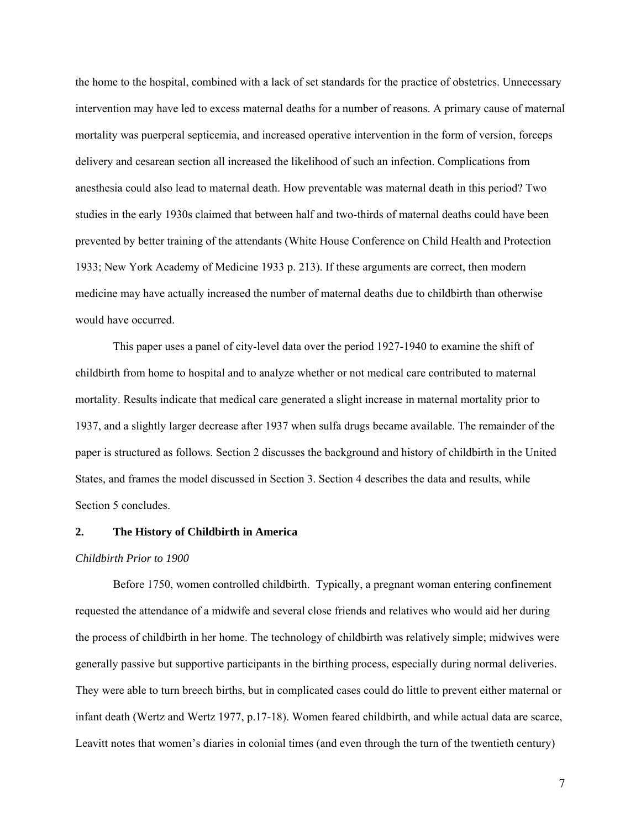the home to the hospital, combined with a lack of set standards for the practice of obstetrics. Unnecessary intervention may have led to excess maternal deaths for a number of reasons. A primary cause of maternal mortality was puerperal septicemia, and increased operative intervention in the form of version, forceps delivery and cesarean section all increased the likelihood of such an infection. Complications from anesthesia could also lead to maternal death. How preventable was maternal death in this period? Two studies in the early 1930s claimed that between half and two-thirds of maternal deaths could have been prevented by better training of the attendants (White House Conference on Child Health and Protection 1933; New York Academy of Medicine 1933 p. 213). If these arguments are correct, then modern medicine may have actually increased the number of maternal deaths due to childbirth than otherwise would have occurred.

This paper uses a panel of city-level data over the period 1927-1940 to examine the shift of childbirth from home to hospital and to analyze whether or not medical care contributed to maternal mortality. Results indicate that medical care generated a slight increase in maternal mortality prior to 1937, and a slightly larger decrease after 1937 when sulfa drugs became available. The remainder of the paper is structured as follows. Section 2 discusses the background and history of childbirth in the United States, and frames the model discussed in Section 3. Section 4 describes the data and results, while Section 5 concludes.

#### **2. The History of Childbirth in America**

#### *Childbirth Prior to 1900*

Before 1750, women controlled childbirth. Typically, a pregnant woman entering confinement requested the attendance of a midwife and several close friends and relatives who would aid her during the process of childbirth in her home. The technology of childbirth was relatively simple; midwives were generally passive but supportive participants in the birthing process, especially during normal deliveries. They were able to turn breech births, but in complicated cases could do little to prevent either maternal or infant death (Wertz and Wertz 1977, p.17-18). Women feared childbirth, and while actual data are scarce, Leavitt notes that women's diaries in colonial times (and even through the turn of the twentieth century)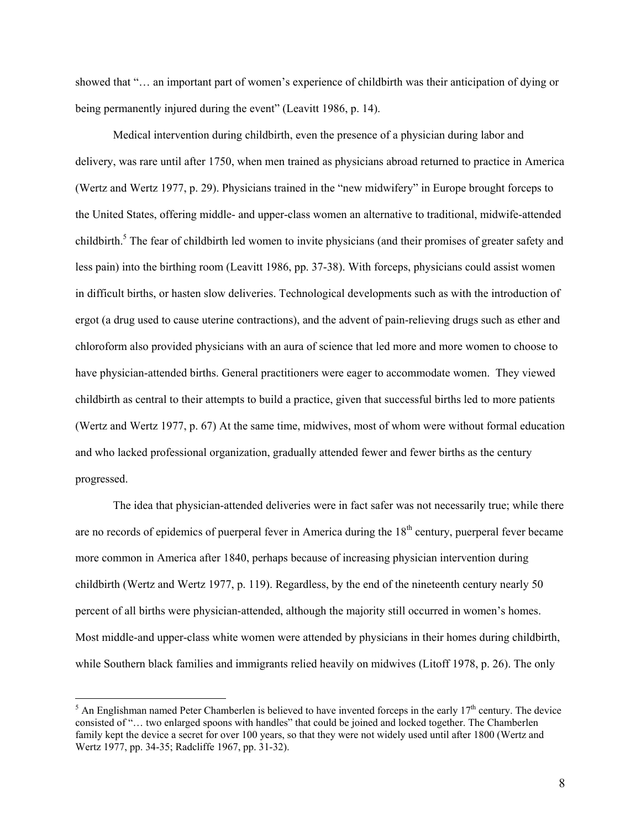showed that "… an important part of women's experience of childbirth was their anticipation of dying or being permanently injured during the event" (Leavitt 1986, p. 14).

Medical intervention during childbirth, even the presence of a physician during labor and delivery, was rare until after 1750, when men trained as physicians abroad returned to practice in America (Wertz and Wertz 1977, p. 29). Physicians trained in the "new midwifery" in Europe brought forceps to the United States, offering middle- and upper-class women an alternative to traditional, midwife-attended childbirth.<sup>[5](#page-8-0)</sup> The fear of childbirth led women to invite physicians (and their promises of greater safety and less pain) into the birthing room (Leavitt 1986, pp. 37-38). With forceps, physicians could assist women in difficult births, or hasten slow deliveries. Technological developments such as with the introduction of ergot (a drug used to cause uterine contractions), and the advent of pain-relieving drugs such as ether and chloroform also provided physicians with an aura of science that led more and more women to choose to have physician-attended births. General practitioners were eager to accommodate women. They viewed childbirth as central to their attempts to build a practice, given that successful births led to more patients (Wertz and Wertz 1977, p. 67) At the same time, midwives, most of whom were without formal education and who lacked professional organization, gradually attended fewer and fewer births as the century progressed.

The idea that physician-attended deliveries were in fact safer was not necessarily true; while there are no records of epidemics of puerperal fever in America during the 18<sup>th</sup> century, puerperal fever became more common in America after 1840, perhaps because of increasing physician intervention during childbirth (Wertz and Wertz 1977, p. 119). Regardless, by the end of the nineteenth century nearly 50 percent of all births were physician-attended, although the majority still occurred in women's homes. Most middle-and upper-class white women were attended by physicians in their homes during childbirth, while Southern black families and immigrants relied heavily on midwives (Litoff 1978, p. 26). The only

<span id="page-8-0"></span> $<sup>5</sup>$  An Englishman named Peter Chamberlen is believed to have invented forceps in the early 17<sup>th</sup> century. The device</sup> consisted of "… two enlarged spoons with handles" that could be joined and locked together. The Chamberlen family kept the device a secret for over 100 years, so that they were not widely used until after 1800 (Wertz and Wertz 1977, pp. 34-35; Radcliffe 1967, pp. 31-32).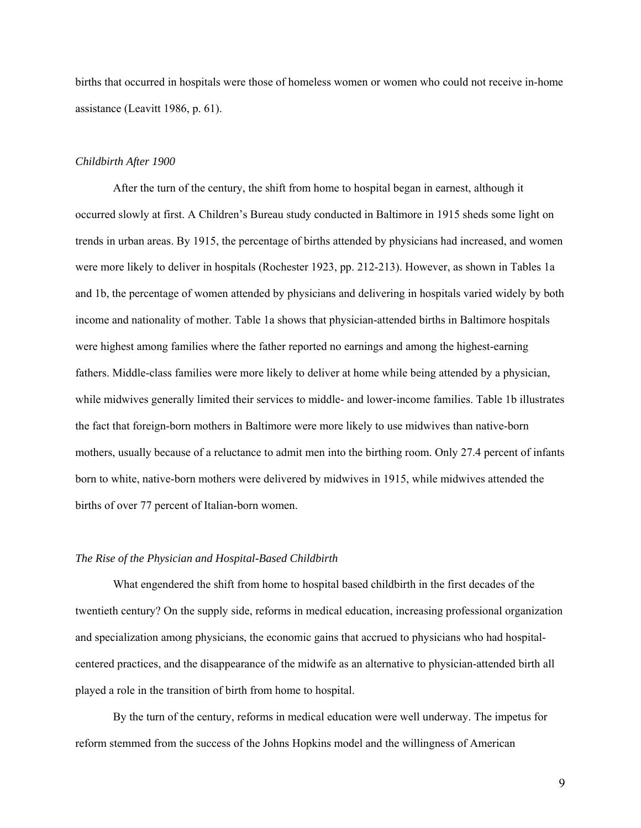births that occurred in hospitals were those of homeless women or women who could not receive in-home assistance (Leavitt 1986, p. 61).

### *Childbirth After 1900*

After the turn of the century, the shift from home to hospital began in earnest, although it occurred slowly at first. A Children's Bureau study conducted in Baltimore in 1915 sheds some light on trends in urban areas. By 1915, the percentage of births attended by physicians had increased, and women were more likely to deliver in hospitals (Rochester 1923, pp. 212-213). However, as shown in Tables 1a and 1b, the percentage of women attended by physicians and delivering in hospitals varied widely by both income and nationality of mother. Table 1a shows that physician-attended births in Baltimore hospitals were highest among families where the father reported no earnings and among the highest-earning fathers. Middle-class families were more likely to deliver at home while being attended by a physician, while midwives generally limited their services to middle- and lower-income families. Table 1b illustrates the fact that foreign-born mothers in Baltimore were more likely to use midwives than native-born mothers, usually because of a reluctance to admit men into the birthing room. Only 27.4 percent of infants born to white, native-born mothers were delivered by midwives in 1915, while midwives attended the births of over 77 percent of Italian-born women.

### *The Rise of the Physician and Hospital-Based Childbirth*

What engendered the shift from home to hospital based childbirth in the first decades of the twentieth century? On the supply side, reforms in medical education, increasing professional organization and specialization among physicians, the economic gains that accrued to physicians who had hospitalcentered practices, and the disappearance of the midwife as an alternative to physician-attended birth all played a role in the transition of birth from home to hospital.

By the turn of the century, reforms in medical education were well underway. The impetus for reform stemmed from the success of the Johns Hopkins model and the willingness of American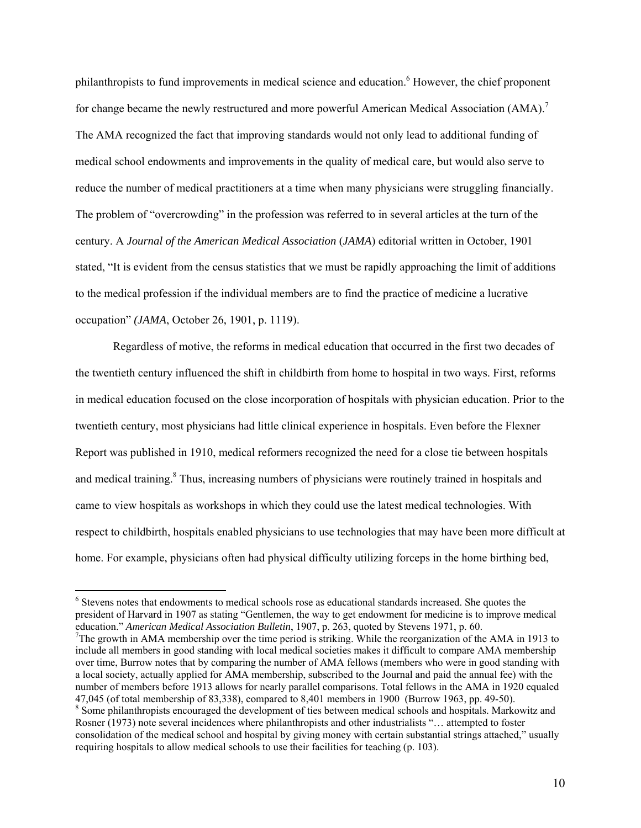philanthropists to fund improvements in medical science and education.<sup>6</sup> However, the chief proponent for change became the newly restructured and more powerful American Medical Association (AMA).<sup>[7](#page-10-1)</sup> The AMA recognized the fact that improving standards would not only lead to additional funding of medical school endowments and improvements in the quality of medical care, but would also serve to reduce the number of medical practitioners at a time when many physicians were struggling financially. The problem of "overcrowding" in the profession was referred to in several articles at the turn of the century. A *Journal of the American Medical Association* (*JAMA*) editorial written in October, 1901 stated, "It is evident from the census statistics that we must be rapidly approaching the limit of additions to the medical profession if the individual members are to find the practice of medicine a lucrative occupation" *(JAMA*, October 26, 1901, p. 1119).

Regardless of motive, the reforms in medical education that occurred in the first two decades of the twentieth century influenced the shift in childbirth from home to hospital in two ways. First, reforms in medical education focused on the close incorporation of hospitals with physician education. Prior to the twentieth century, most physicians had little clinical experience in hospitals. Even before the Flexner Report was published in 1910, medical reformers recognized the need for a close tie between hospitals and medical training.<sup>8</sup> Thus, increasing numbers of physicians were routinely trained in hospitals and came to view hospitals as workshops in which they could use the latest medical technologies. With respect to childbirth, hospitals enabled physicians to use technologies that may have been more difficult at home. For example, physicians often had physical difficulty utilizing forceps in the home birthing bed,

<span id="page-10-0"></span><sup>&</sup>lt;sup>6</sup> Stevens notes that endowments to medical schools rose as educational standards increased. She quotes the president of Harvard in 1907 as stating "Gentlemen, the way to get endowment for medicine is to improve medical education." *American Medical Association Bulletin*, 1907, p. 263, quoted by Stevens 1971, p. 60. 7

<span id="page-10-2"></span><span id="page-10-1"></span> $T$ The growth in AMA membership over the time period is striking. While the reorganization of the AMA in 1913 to include all members in good standing with local medical societies makes it difficult to compare AMA membership over time, Burrow notes that by comparing the number of AMA fellows (members who were in good standing with a local society, actually applied for AMA membership, subscribed to the Journal and paid the annual fee) with the number of members before 1913 allows for nearly parallel comparisons. Total fellows in the AMA in 1920 equaled 47,045 (of total membership of 83,338), compared to 8,401 members in 1900 (Burrow 1963, pp. 49-50). 8 <sup>8</sup> Some philanthropists encouraged the development of ties between medical schools and hospitals. Markowitz and Rosner (1973) note several incidences where philanthropists and other industrialists "… attempted to foster consolidation of the medical school and hospital by giving money with certain substantial strings attached," usually requiring hospitals to allow medical schools to use their facilities for teaching (p. 103).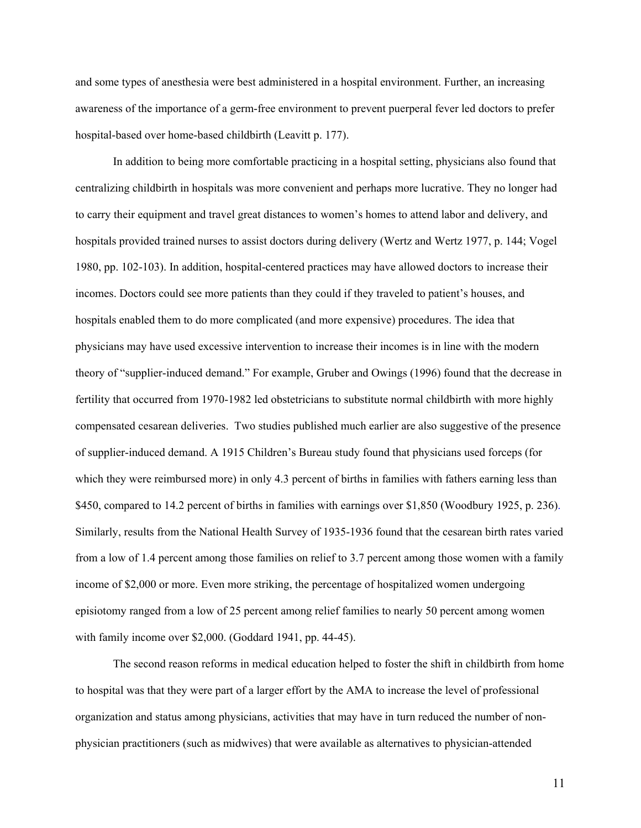and some types of anesthesia were best administered in a hospital environment. Further, an increasing awareness of the importance of a germ-free environment to prevent puerperal fever led doctors to prefer hospital-based over home-based childbirth (Leavitt p. 177).

In addition to being more comfortable practicing in a hospital setting, physicians also found that centralizing childbirth in hospitals was more convenient and perhaps more lucrative. They no longer had to carry their equipment and travel great distances to women's homes to attend labor and delivery, and hospitals provided trained nurses to assist doctors during delivery (Wertz and Wertz 1977, p. 144; Vogel 1980, pp. 102-103). In addition, hospital-centered practices may have allowed doctors to increase their incomes. Doctors could see more patients than they could if they traveled to patient's houses, and hospitals enabled them to do more complicated (and more expensive) procedures. The idea that physicians may have used excessive intervention to increase their incomes is in line with the modern theory of "supplier-induced demand." For example, Gruber and Owings (1996) found that the decrease in fertility that occurred from 1970-1982 led obstetricians to substitute normal childbirth with more highly compensated cesarean deliveries. Two studies published much earlier are also suggestive of the presence of supplier-induced demand. A 1915 Children's Bureau study found that physicians used forceps (for which they were reimbursed more) in only 4.3 percent of births in families with fathers earning less than \$450, compared to 14.2 percent of births in families with earnings over \$1,850 (Woodbury 1925, p. 236). Similarly, results from the National Health Survey of 1935-1936 found that the cesarean birth rates varied from a low of 1.4 percent among those families on relief to 3.7 percent among those women with a family income of \$2,000 or more. Even more striking, the percentage of hospitalized women undergoing episiotomy ranged from a low of 25 percent among relief families to nearly 50 percent among women with family income over \$2,000. (Goddard 1941, pp. 44-45).

The second reason reforms in medical education helped to foster the shift in childbirth from home to hospital was that they were part of a larger effort by the AMA to increase the level of professional organization and status among physicians, activities that may have in turn reduced the number of nonphysician practitioners (such as midwives) that were available as alternatives to physician-attended

11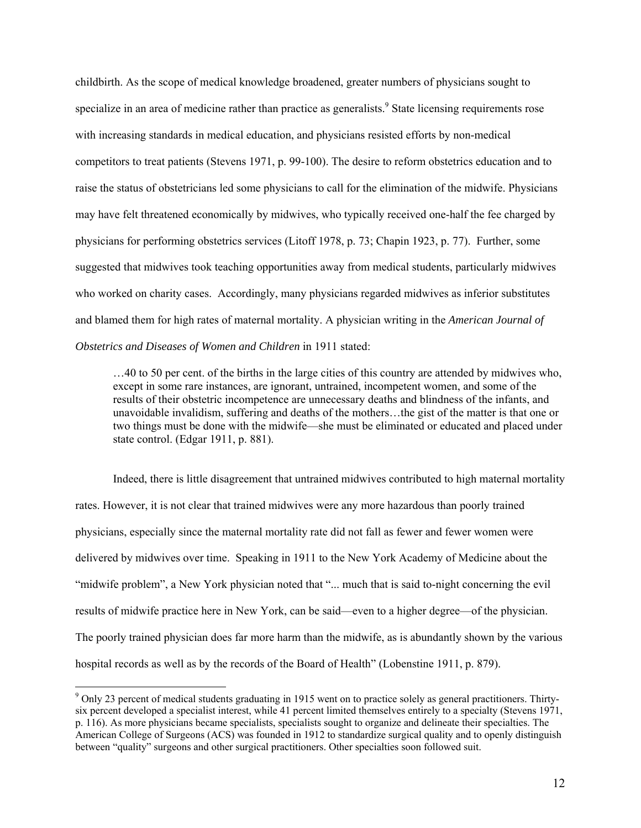childbirth. As the scope of medical knowledge broadened, greater numbers of physicians sought to specialize in an area of medicine rather than practice as generalists.<sup>[9](#page-12-0)</sup> State licensing requirements rose with increasing standards in medical education, and physicians resisted efforts by non-medical competitors to treat patients (Stevens 1971, p. 99-100). The desire to reform obstetrics education and to raise the status of obstetricians led some physicians to call for the elimination of the midwife. Physicians may have felt threatened economically by midwives, who typically received one-half the fee charged by physicians for performing obstetrics services (Litoff 1978, p. 73; Chapin 1923, p. 77). Further, some suggested that midwives took teaching opportunities away from medical students, particularly midwives who worked on charity cases. Accordingly, many physicians regarded midwives as inferior substitutes and blamed them for high rates of maternal mortality. A physician writing in the *American Journal of Obstetrics and Diseases of Women and Children* in 1911 stated:

…40 to 50 per cent. of the births in the large cities of this country are attended by midwives who, except in some rare instances, are ignorant, untrained, incompetent women, and some of the results of their obstetric incompetence are unnecessary deaths and blindness of the infants, and unavoidable invalidism, suffering and deaths of the mothers…the gist of the matter is that one or two things must be done with the midwife—she must be eliminated or educated and placed under state control. (Edgar 1911, p. 881).

Indeed, there is little disagreement that untrained midwives contributed to high maternal mortality rates. However, it is not clear that trained midwives were any more hazardous than poorly trained physicians, especially since the maternal mortality rate did not fall as fewer and fewer women were delivered by midwives over time. Speaking in 1911 to the New York Academy of Medicine about the "midwife problem", a New York physician noted that "... much that is said to-night concerning the evil results of midwife practice here in New York, can be said—even to a higher degree—of the physician. The poorly trained physician does far more harm than the midwife, as is abundantly shown by the various hospital records as well as by the records of the Board of Health" (Lobenstine 1911, p. 879).

<span id="page-12-0"></span><sup>&</sup>lt;sup>9</sup> Only 23 percent of medical students graduating in 1915 went on to practice solely as general practitioners. Thirtysix percent developed a specialist interest, while 41 percent limited themselves entirely to a specialty (Stevens 1971, p. 116). As more physicians became specialists, specialists sought to organize and delineate their specialties. The American College of Surgeons (ACS) was founded in 1912 to standardize surgical quality and to openly distinguish between "quality" surgeons and other surgical practitioners. Other specialties soon followed suit.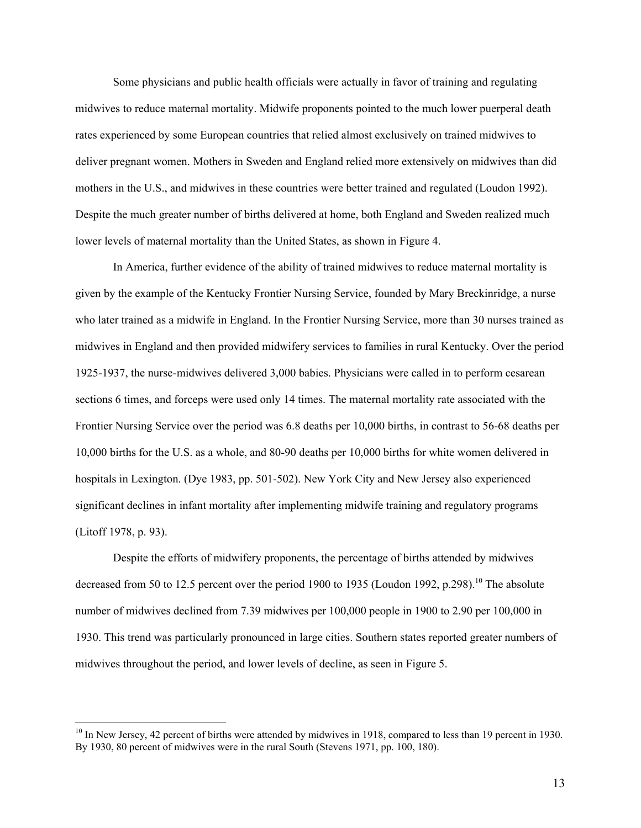Some physicians and public health officials were actually in favor of training and regulating midwives to reduce maternal mortality. Midwife proponents pointed to the much lower puerperal death rates experienced by some European countries that relied almost exclusively on trained midwives to deliver pregnant women. Mothers in Sweden and England relied more extensively on midwives than did mothers in the U.S., and midwives in these countries were better trained and regulated (Loudon 1992). Despite the much greater number of births delivered at home, both England and Sweden realized much lower levels of maternal mortality than the United States, as shown in Figure 4.

In America, further evidence of the ability of trained midwives to reduce maternal mortality is given by the example of the Kentucky Frontier Nursing Service, founded by Mary Breckinridge, a nurse who later trained as a midwife in England. In the Frontier Nursing Service, more than 30 nurses trained as midwives in England and then provided midwifery services to families in rural Kentucky. Over the period 1925-1937, the nurse-midwives delivered 3,000 babies. Physicians were called in to perform cesarean sections 6 times, and forceps were used only 14 times. The maternal mortality rate associated with the Frontier Nursing Service over the period was 6.8 deaths per 10,000 births, in contrast to 56-68 deaths per 10,000 births for the U.S. as a whole, and 80-90 deaths per 10,000 births for white women delivered in hospitals in Lexington. (Dye 1983, pp. 501-502). New York City and New Jersey also experienced significant declines in infant mortality after implementing midwife training and regulatory programs (Litoff 1978, p. 93).

Despite the efforts of midwifery proponents, the percentage of births attended by midwives decreased from 50 to 12.5 percent over the period 1900 to 1935 (Loudon 1992, p.298).<sup>10</sup> The absolute number of midwives declined from 7.39 midwives per 100,000 people in 1900 to 2.90 per 100,000 in 1930. This trend was particularly pronounced in large cities. Southern states reported greater numbers of midwives throughout the period, and lower levels of decline, as seen in Figure 5.

<span id="page-13-0"></span><sup>&</sup>lt;sup>10</sup> In New Jersey, 42 percent of births were attended by midwives in 1918, compared to less than 19 percent in 1930. By 1930, 80 percent of midwives were in the rural South (Stevens 1971, pp. 100, 180).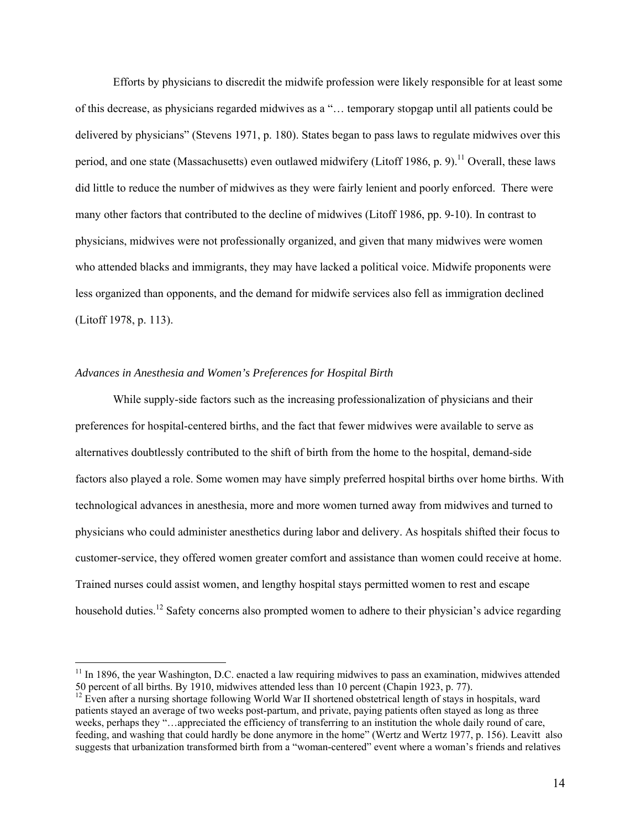Efforts by physicians to discredit the midwife profession were likely responsible for at least some of this decrease, as physicians regarded midwives as a "… temporary stopgap until all patients could be delivered by physicians" (Stevens 1971, p. 180). States began to pass laws to regulate midwives over this period, and one state (Massachusetts) even outlawed midwifery (Litoff 1986, p. 9).<sup>11</sup> Overall, these laws did little to reduce the number of midwives as they were fairly lenient and poorly enforced. There were many other factors that contributed to the decline of midwives (Litoff 1986, pp. 9-10). In contrast to physicians, midwives were not professionally organized, and given that many midwives were women who attended blacks and immigrants, they may have lacked a political voice. Midwife proponents were less organized than opponents, and the demand for midwife services also fell as immigration declined (Litoff 1978, p. 113).

### *Advances in Anesthesia and Women's Preferences for Hospital Birth*

 $\overline{a}$ 

While supply-side factors such as the increasing professionalization of physicians and their preferences for hospital-centered births, and the fact that fewer midwives were available to serve as alternatives doubtlessly contributed to the shift of birth from the home to the hospital, demand-side factors also played a role. Some women may have simply preferred hospital births over home births. With technological advances in anesthesia, more and more women turned away from midwives and turned to physicians who could administer anesthetics during labor and delivery. As hospitals shifted their focus to customer-service, they offered women greater comfort and assistance than women could receive at home. Trained nurses could assist women, and lengthy hospital stays permitted women to rest and escape household duties.<sup>12</sup> Safety concerns also prompted women to adhere to their physician's advice regarding

<span id="page-14-0"></span><sup>&</sup>lt;sup>11</sup> In 1896, the year Washington, D.C. enacted a law requiring midwives to pass an examination, midwives attended 50 percent of all births. By 1910, midwives attended less than 10 percent (Chapin 1923, p. 77).

<span id="page-14-1"></span> $12$  Even after a nursing shortage following World War II shortened obstetrical length of stays in hospitals, ward patients stayed an average of two weeks post-partum, and private, paying patients often stayed as long as three weeks, perhaps they "…appreciated the efficiency of transferring to an institution the whole daily round of care, feeding, and washing that could hardly be done anymore in the home" (Wertz and Wertz 1977, p. 156). Leavitt also suggests that urbanization transformed birth from a "woman-centered" event where a woman's friends and relatives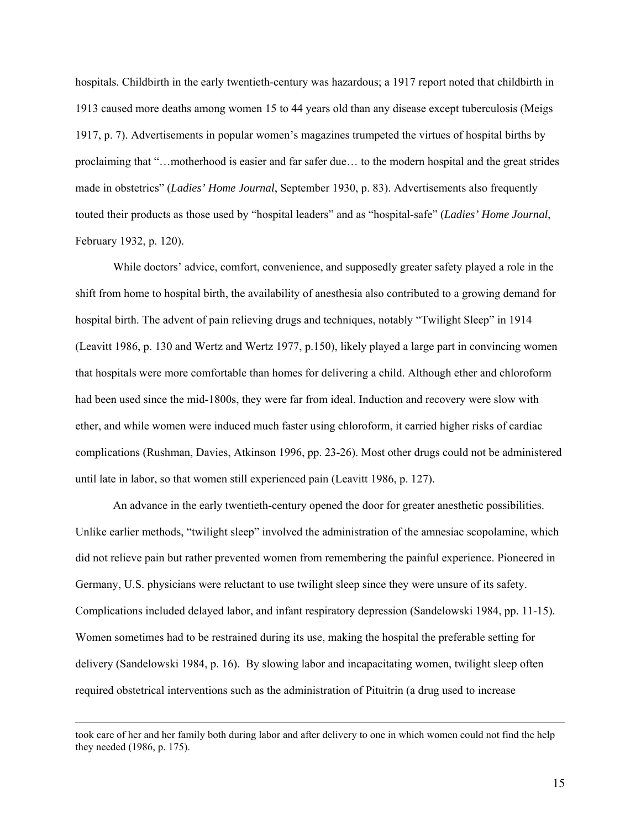hospitals. Childbirth in the early twentieth-century was hazardous; a 1917 report noted that childbirth in 1913 caused more deaths among women 15 to 44 years old than any disease except tuberculosis (Meigs 1917, p. 7). Advertisements in popular women's magazines trumpeted the virtues of hospital births by proclaiming that "…motherhood is easier and far safer due… to the modern hospital and the great strides made in obstetrics" (*Ladies' Home Journal*, September 1930, p. 83). Advertisements also frequently touted their products as those used by "hospital leaders" and as "hospital-safe" (*Ladies' Home Journal*, February 1932, p. 120).

While doctors' advice, comfort, convenience, and supposedly greater safety played a role in the shift from home to hospital birth, the availability of anesthesia also contributed to a growing demand for hospital birth. The advent of pain relieving drugs and techniques, notably "Twilight Sleep" in 1914 (Leavitt 1986, p. 130 and Wertz and Wertz 1977, p.150), likely played a large part in convincing women that hospitals were more comfortable than homes for delivering a child. Although ether and chloroform had been used since the mid-1800s, they were far from ideal. Induction and recovery were slow with ether, and while women were induced much faster using chloroform, it carried higher risks of cardiac complications (Rushman, Davies, Atkinson 1996, pp. 23-26). Most other drugs could not be administered until late in labor, so that women still experienced pain (Leavitt 1986, p. 127).

An advance in the early twentieth-century opened the door for greater anesthetic possibilities. Unlike earlier methods, "twilight sleep" involved the administration of the amnesiac scopolamine, which did not relieve pain but rather prevented women from remembering the painful experience. Pioneered in Germany, U.S. physicians were reluctant to use twilight sleep since they were unsure of its safety. Complications included delayed labor, and infant respiratory depression (Sandelowski 1984, pp. 11-15). Women sometimes had to be restrained during its use, making the hospital the preferable setting for delivery (Sandelowski 1984, p. 16). By slowing labor and incapacitating women, twilight sleep often required obstetrical interventions such as the administration of Pituitrin (a drug used to increase

took care of her and her family both during labor and after delivery to one in which women could not find the help they needed (1986, p. 175).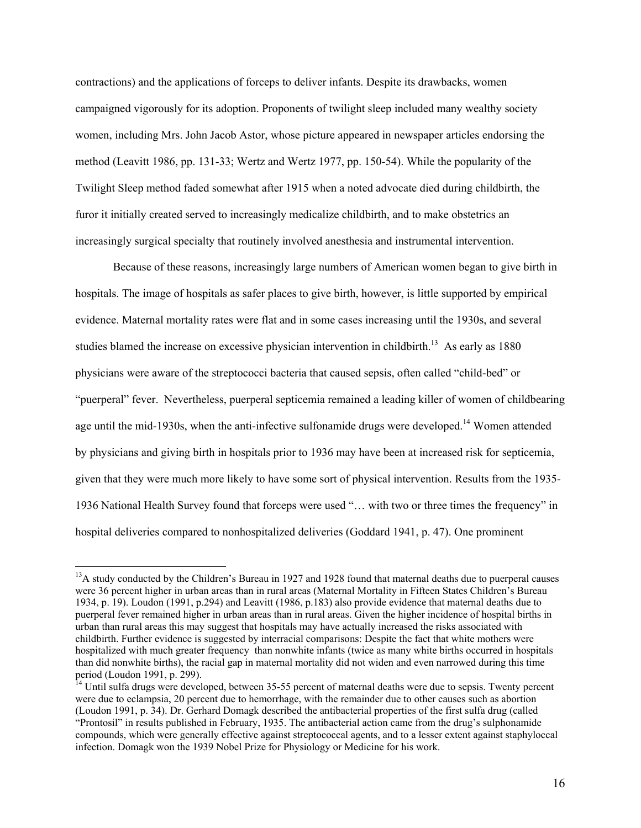contractions) and the applications of forceps to deliver infants. Despite its drawbacks, women campaigned vigorously for its adoption. Proponents of twilight sleep included many wealthy society women, including Mrs. John Jacob Astor, whose picture appeared in newspaper articles endorsing the method (Leavitt 1986, pp. 131-33; Wertz and Wertz 1977, pp. 150-54). While the popularity of the Twilight Sleep method faded somewhat after 1915 when a noted advocate died during childbirth, the furor it initially created served to increasingly medicalize childbirth, and to make obstetrics an increasingly surgical specialty that routinely involved anesthesia and instrumental intervention.

Because of these reasons, increasingly large numbers of American women began to give birth in hospitals. The image of hospitals as safer places to give birth, however, is little supported by empirical evidence. Maternal mortality rates were flat and in some cases increasing until the 1930s, and several studies blamed the increase on excessive physician intervention in childbirth.<sup>13</sup> As early as 1880 physicians were aware of the streptococci bacteria that caused sepsis, often called "child-bed" or "puerperal" fever. Nevertheless, puerperal septicemia remained a leading killer of women of childbearing age until the mid-1930s, when the anti-infective sulfonamide drugs were developed.<sup>14</sup> Women attended by physicians and giving birth in hospitals prior to 1936 may have been at increased risk for septicemia, given that they were much more likely to have some sort of physical intervention. Results from the 1935- 1936 National Health Survey found that forceps were used "… with two or three times the frequency" in hospital deliveries compared to nonhospitalized deliveries (Goddard 1941, p. 47). One prominent

<span id="page-16-0"></span><sup>&</sup>lt;sup>13</sup>A study conducted by the Children's Bureau in 1927 and 1928 found that maternal deaths due to puerperal causes were 36 percent higher in urban areas than in rural areas (Maternal Mortality in Fifteen States Children's Bureau 1934, p. 19). Loudon (1991, p.294) and Leavitt (1986, p.183) also provide evidence that maternal deaths due to puerperal fever remained higher in urban areas than in rural areas. Given the higher incidence of hospital births in urban than rural areas this may suggest that hospitals may have actually increased the risks associated with childbirth. Further evidence is suggested by interracial comparisons: Despite the fact that white mothers were hospitalized with much greater frequency than nonwhite infants (twice as many white births occurred in hospitals than did nonwhite births), the racial gap in maternal mortality did not widen and even narrowed during this time period (Loudon 1991, p. 299).<br><sup>14</sup> Until sulfa drugs were developed, between 35-55 percent of maternal deaths were due to sepsis. Twenty percent

<span id="page-16-1"></span>were due to eclampsia, 20 percent due to hemorrhage, with the remainder due to other causes such as abortion (Loudon 1991, p. 34). Dr. Gerhard Domagk described the antibacterial properties of the first sulfa drug (called "Prontosil" in results published in February, 1935. The antibacterial action came from the drug's sulphonamide compounds, which were generally effective against streptococcal agents, and to a lesser extent against staphyloccal infection. Domagk won the 1939 Nobel Prize for Physiology or Medicine for his work.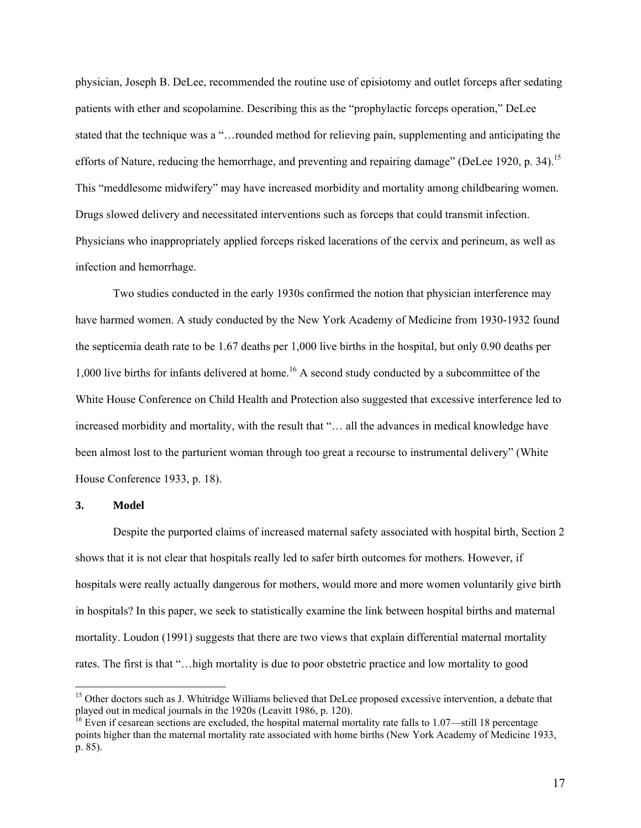physician, Joseph B. DeLee, recommended the routine use of episiotomy and outlet forceps after sedating patients with ether and scopolamine. Describing this as the "prophylactic forceps operation," DeLee stated that the technique was a "…rounded method for relieving pain, supplementing and anticipating the efforts of Nature, reducing the hemorrhage, and preventing and repairing damage" (DeLee 1920, p. 34).<sup>15</sup> This "meddlesome midwifery" may have increased morbidity and mortality among childbearing women. Drugs slowed delivery and necessitated interventions such as forceps that could transmit infection. Physicians who inappropriately applied forceps risked lacerations of the cervix and perineum, as well as infection and hemorrhage.

Two studies conducted in the early 1930s confirmed the notion that physician interference may have harmed women. A study conducted by the New York Academy of Medicine from 1930-1932 found the septicemia death rate to be 1.67 deaths per 1,000 live births in the hospital, but only 0.90 deaths per 1,000 live births for infants delivered at home.<sup>16</sup> A second study conducted by a subcommittee of the White House Conference on Child Health and Protection also suggested that excessive interference led to increased morbidity and mortality, with the result that "… all the advances in medical knowledge have been almost lost to the parturient woman through too great a recourse to instrumental delivery" (White House Conference 1933, p. 18).

#### **3. Model**

 $\overline{a}$ 

Despite the purported claims of increased maternal safety associated with hospital birth, Section 2 shows that it is not clear that hospitals really led to safer birth outcomes for mothers. However, if hospitals were really actually dangerous for mothers, would more and more women voluntarily give birth in hospitals? In this paper, we seek to statistically examine the link between hospital births and maternal mortality. Loudon (1991) suggests that there are two views that explain differential maternal mortality rates. The first is that "…high mortality is due to poor obstetric practice and low mortality to good

<span id="page-17-0"></span><sup>&</sup>lt;sup>15</sup> Other doctors such as J. Whitridge Williams believed that DeLee proposed excessive intervention, a debate that played out in medical journals in the 1920s (Leavitt 1986, p. 120).<br><sup>16</sup> Even if cesarean sections are excluded, the hospital maternal mortality rate falls to 1.07—still 18 percentage

<span id="page-17-1"></span>points higher than the maternal mortality rate associated with home births (New York Academy of Medicine 1933, p. 85).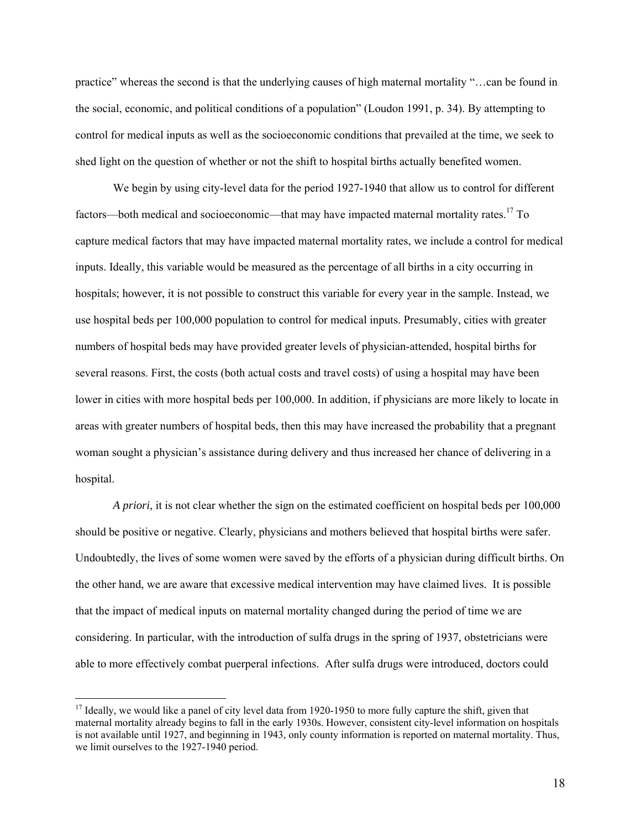practice" whereas the second is that the underlying causes of high maternal mortality "…can be found in the social, economic, and political conditions of a population" (Loudon 1991, p. 34). By attempting to control for medical inputs as well as the socioeconomic conditions that prevailed at the time, we seek to shed light on the question of whether or not the shift to hospital births actually benefited women.

We begin by using city-level data for the period 1927-1940 that allow us to control for different factors—both medical and socioeconomic—that may have impacted maternal mortality rates.<sup>17</sup> To capture medical factors that may have impacted maternal mortality rates, we include a control for medical inputs. Ideally, this variable would be measured as the percentage of all births in a city occurring in hospitals; however, it is not possible to construct this variable for every year in the sample. Instead, we use hospital beds per 100,000 population to control for medical inputs. Presumably, cities with greater numbers of hospital beds may have provided greater levels of physician-attended, hospital births for several reasons. First, the costs (both actual costs and travel costs) of using a hospital may have been lower in cities with more hospital beds per 100,000. In addition, if physicians are more likely to locate in areas with greater numbers of hospital beds, then this may have increased the probability that a pregnant woman sought a physician's assistance during delivery and thus increased her chance of delivering in a hospital.

*A priori*, it is not clear whether the sign on the estimated coefficient on hospital beds per 100,000 should be positive or negative. Clearly, physicians and mothers believed that hospital births were safer. Undoubtedly, the lives of some women were saved by the efforts of a physician during difficult births. On the other hand, we are aware that excessive medical intervention may have claimed lives. It is possible that the impact of medical inputs on maternal mortality changed during the period of time we are considering. In particular, with the introduction of sulfa drugs in the spring of 1937, obstetricians were able to more effectively combat puerperal infections. After sulfa drugs were introduced, doctors could

<span id="page-18-0"></span> $17$  Ideally, we would like a panel of city level data from 1920-1950 to more fully capture the shift, given that maternal mortality already begins to fall in the early 1930s. However, consistent city-level information on hospitals is not available until 1927, and beginning in 1943, only county information is reported on maternal mortality. Thus, we limit ourselves to the 1927-1940 period.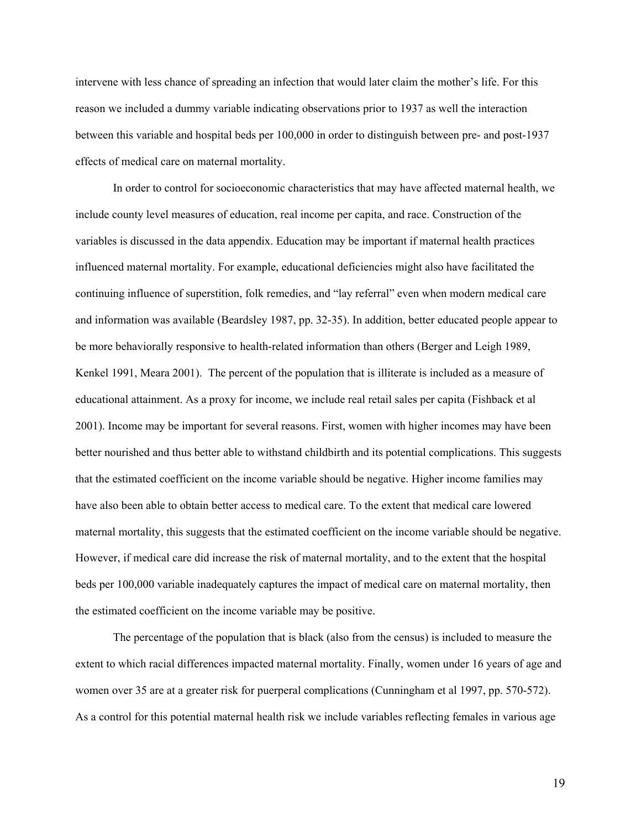intervene with less chance of spreading an infection that would later claim the mother's life. For this reason we included a dummy variable indicating observations prior to 1937 as well the interaction between this variable and hospital beds per 100,000 in order to distinguish between pre- and post-1937 effects of medical care on maternal mortality.

In order to control for socioeconomic characteristics that may have affected maternal health, we include county level measures of education, real income per capita, and race. Construction of the variables is discussed in the data appendix. Education may be important if maternal health practices influenced maternal mortality. For example, educational deficiencies might also have facilitated the continuing influence of superstition, folk remedies, and "lay referral" even when modern medical care and information was available (Beardsley 1987, pp. 32-35). In addition, better educated people appear to be more behaviorally responsive to health-related information than others (Berger and Leigh 1989, Kenkel 1991, Meara 2001). The percent of the population that is illiterate is included as a measure of educational attainment. As a proxy for income, we include real retail sales per capita (Fishback et al 2001). Income may be important for several reasons. First, women with higher incomes may have been better nourished and thus better able to withstand childbirth and its potential complications. This suggests that the estimated coefficient on the income variable should be negative. Higher income families may have also been able to obtain better access to medical care. To the extent that medical care lowered maternal mortality, this suggests that the estimated coefficient on the income variable should be negative. However, if medical care did increase the risk of maternal mortality, and to the extent that the hospital beds per 100,000 variable inadequately captures the impact of medical care on maternal mortality, then the estimated coefficient on the income variable may be positive.

The percentage of the population that is black (also from the census) is included to measure the extent to which racial differences impacted maternal mortality. Finally, women under 16 years of age and women over 35 are at a greater risk for puerperal complications (Cunningham et al 1997, pp. 570-572). As a control for this potential maternal health risk we include variables reflecting females in various age

19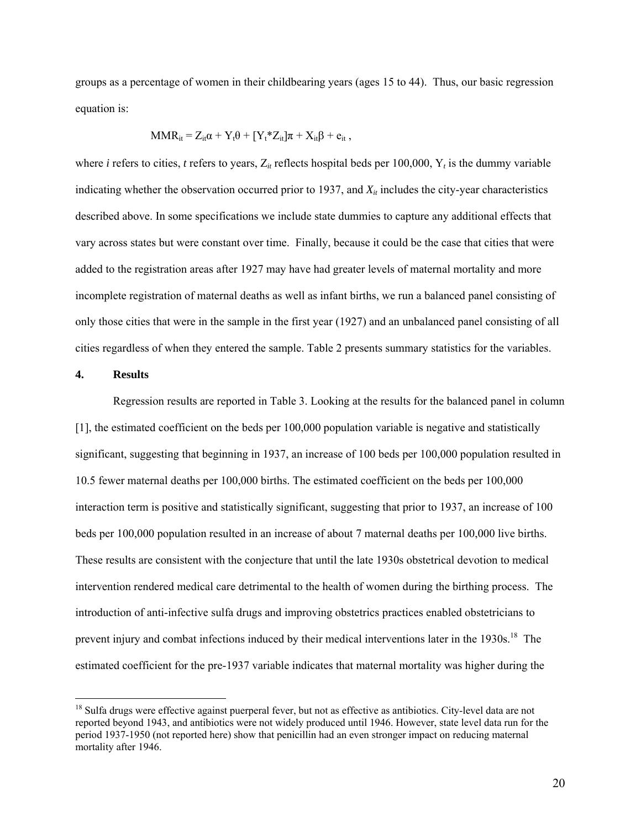groups as a percentage of women in their childbearing years (ages 15 to 44). Thus, our basic regression equation is:

$$
MMR_{it} = Z_{it}\alpha + Y_t\theta + [Y_t^*Z_{it}]\pi + X_{it}\beta + e_{it},
$$

where *i* refers to cities, *t* refers to years,  $Z_{it}$  reflects hospital beds per 100,000,  $Y_t$  is the dummy variable indicating whether the observation occurred prior to 1937, and  $X_{it}$  includes the city-year characteristics described above. In some specifications we include state dummies to capture any additional effects that vary across states but were constant over time. Finally, because it could be the case that cities that were added to the registration areas after 1927 may have had greater levels of maternal mortality and more incomplete registration of maternal deaths as well as infant births, we run a balanced panel consisting of only those cities that were in the sample in the first year (1927) and an unbalanced panel consisting of all cities regardless of when they entered the sample. Table 2 presents summary statistics for the variables.

### **4. Results**

 $\overline{a}$ 

 Regression results are reported in Table 3. Looking at the results for the balanced panel in column [1], the estimated coefficient on the beds per 100,000 population variable is negative and statistically significant, suggesting that beginning in 1937, an increase of 100 beds per 100,000 population resulted in 10.5 fewer maternal deaths per 100,000 births. The estimated coefficient on the beds per 100,000 interaction term is positive and statistically significant, suggesting that prior to 1937, an increase of 100 beds per 100,000 population resulted in an increase of about 7 maternal deaths per 100,000 live births. These results are consistent with the conjecture that until the late 1930s obstetrical devotion to medical intervention rendered medical care detrimental to the health of women during the birthing process. The introduction of anti-infective sulfa drugs and improving obstetrics practices enabled obstetricians to prevent injury and combat infections induced by their medical interventions later in the 1930s.<sup>[18](#page-20-0)</sup> The estimated coefficient for the pre-1937 variable indicates that maternal mortality was higher during the

<span id="page-20-0"></span> $18$  Sulfa drugs were effective against puerperal fever, but not as effective as antibiotics. City-level data are not reported beyond 1943, and antibiotics were not widely produced until 1946. However, state level data run for the period 1937-1950 (not reported here) show that penicillin had an even stronger impact on reducing maternal mortality after 1946.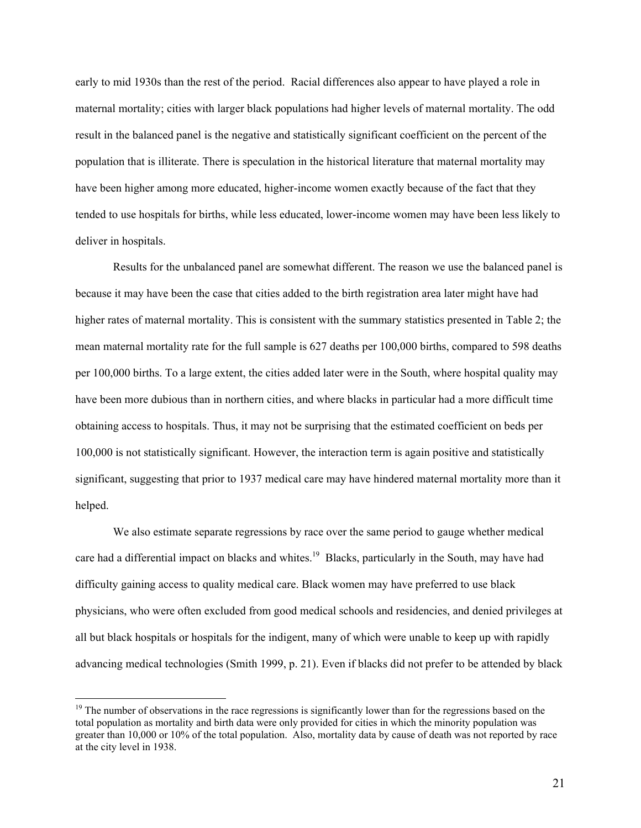early to mid 1930s than the rest of the period. Racial differences also appear to have played a role in maternal mortality; cities with larger black populations had higher levels of maternal mortality. The odd result in the balanced panel is the negative and statistically significant coefficient on the percent of the population that is illiterate. There is speculation in the historical literature that maternal mortality may have been higher among more educated, higher-income women exactly because of the fact that they tended to use hospitals for births, while less educated, lower-income women may have been less likely to deliver in hospitals.

Results for the unbalanced panel are somewhat different. The reason we use the balanced panel is because it may have been the case that cities added to the birth registration area later might have had higher rates of maternal mortality. This is consistent with the summary statistics presented in Table 2; the mean maternal mortality rate for the full sample is 627 deaths per 100,000 births, compared to 598 deaths per 100,000 births. To a large extent, the cities added later were in the South, where hospital quality may have been more dubious than in northern cities, and where blacks in particular had a more difficult time obtaining access to hospitals. Thus, it may not be surprising that the estimated coefficient on beds per 100,000 is not statistically significant. However, the interaction term is again positive and statistically significant, suggesting that prior to 1937 medical care may have hindered maternal mortality more than it helped.

We also estimate separate regressions by race over the same period to gauge whether medical care had a differential impact on blacks and whites.<sup>19</sup> Blacks, particularly in the South, may have had difficulty gaining access to quality medical care. Black women may have preferred to use black physicians, who were often excluded from good medical schools and residencies, and denied privileges at all but black hospitals or hospitals for the indigent, many of which were unable to keep up with rapidly advancing medical technologies (Smith 1999, p. 21). Even if blacks did not prefer to be attended by black

<span id="page-21-0"></span> $19$  The number of observations in the race regressions is significantly lower than for the regressions based on the total population as mortality and birth data were only provided for cities in which the minority population was greater than 10,000 or 10% of the total population. Also, mortality data by cause of death was not reported by race at the city level in 1938.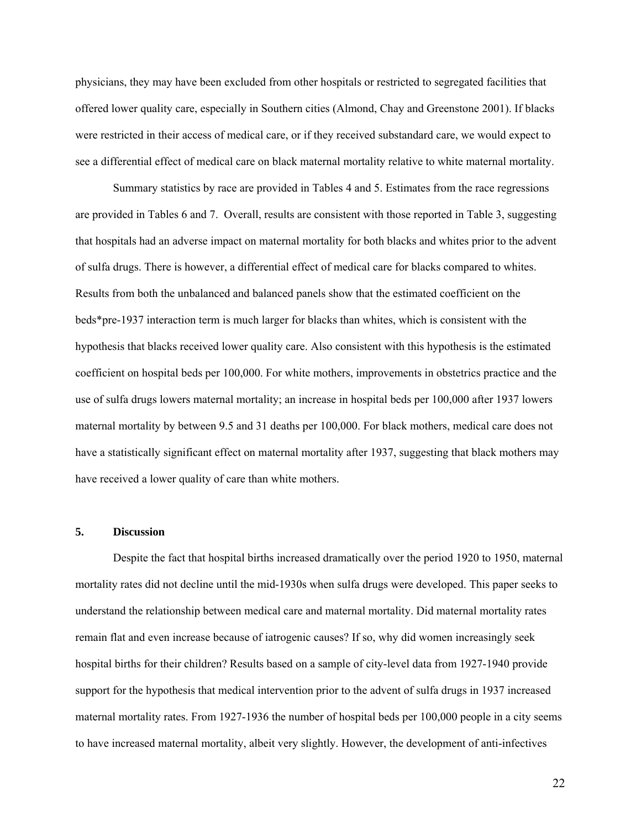physicians, they may have been excluded from other hospitals or restricted to segregated facilities that offered lower quality care, especially in Southern cities (Almond, Chay and Greenstone 2001). If blacks were restricted in their access of medical care, or if they received substandard care, we would expect to see a differential effect of medical care on black maternal mortality relative to white maternal mortality.

Summary statistics by race are provided in Tables 4 and 5. Estimates from the race regressions are provided in Tables 6 and 7. Overall, results are consistent with those reported in Table 3, suggesting that hospitals had an adverse impact on maternal mortality for both blacks and whites prior to the advent of sulfa drugs. There is however, a differential effect of medical care for blacks compared to whites. Results from both the unbalanced and balanced panels show that the estimated coefficient on the beds\*pre-1937 interaction term is much larger for blacks than whites, which is consistent with the hypothesis that blacks received lower quality care. Also consistent with this hypothesis is the estimated coefficient on hospital beds per 100,000. For white mothers, improvements in obstetrics practice and the use of sulfa drugs lowers maternal mortality; an increase in hospital beds per 100,000 after 1937 lowers maternal mortality by between 9.5 and 31 deaths per 100,000. For black mothers, medical care does not have a statistically significant effect on maternal mortality after 1937, suggesting that black mothers may have received a lower quality of care than white mothers.

### **5. Discussion**

Despite the fact that hospital births increased dramatically over the period 1920 to 1950, maternal mortality rates did not decline until the mid-1930s when sulfa drugs were developed. This paper seeks to understand the relationship between medical care and maternal mortality. Did maternal mortality rates remain flat and even increase because of iatrogenic causes? If so, why did women increasingly seek hospital births for their children? Results based on a sample of city-level data from 1927-1940 provide support for the hypothesis that medical intervention prior to the advent of sulfa drugs in 1937 increased maternal mortality rates. From 1927-1936 the number of hospital beds per 100,000 people in a city seems to have increased maternal mortality, albeit very slightly. However, the development of anti-infectives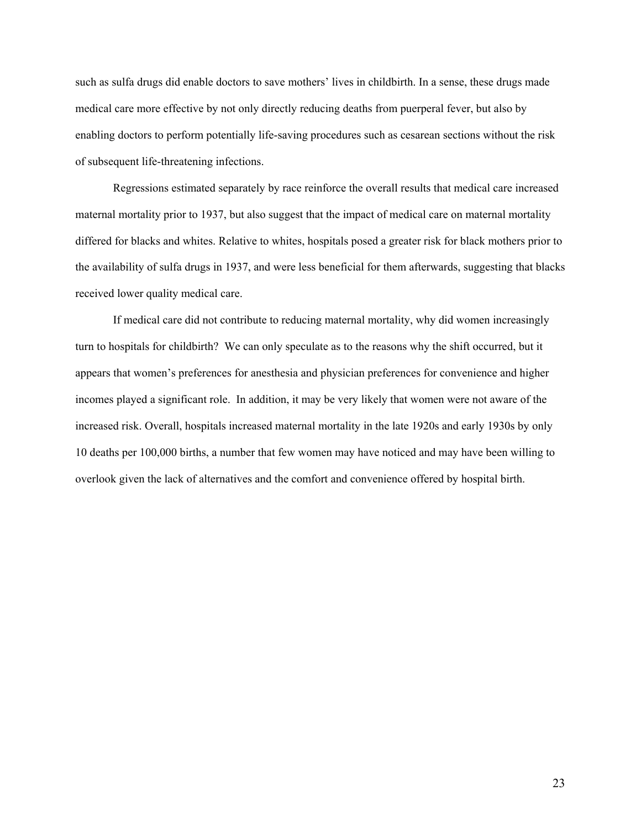such as sulfa drugs did enable doctors to save mothers' lives in childbirth. In a sense, these drugs made medical care more effective by not only directly reducing deaths from puerperal fever, but also by enabling doctors to perform potentially life-saving procedures such as cesarean sections without the risk of subsequent life-threatening infections.

Regressions estimated separately by race reinforce the overall results that medical care increased maternal mortality prior to 1937, but also suggest that the impact of medical care on maternal mortality differed for blacks and whites. Relative to whites, hospitals posed a greater risk for black mothers prior to the availability of sulfa drugs in 1937, and were less beneficial for them afterwards, suggesting that blacks received lower quality medical care.

If medical care did not contribute to reducing maternal mortality, why did women increasingly turn to hospitals for childbirth? We can only speculate as to the reasons why the shift occurred, but it appears that women's preferences for anesthesia and physician preferences for convenience and higher incomes played a significant role. In addition, it may be very likely that women were not aware of the increased risk. Overall, hospitals increased maternal mortality in the late 1920s and early 1930s by only 10 deaths per 100,000 births, a number that few women may have noticed and may have been willing to overlook given the lack of alternatives and the comfort and convenience offered by hospital birth.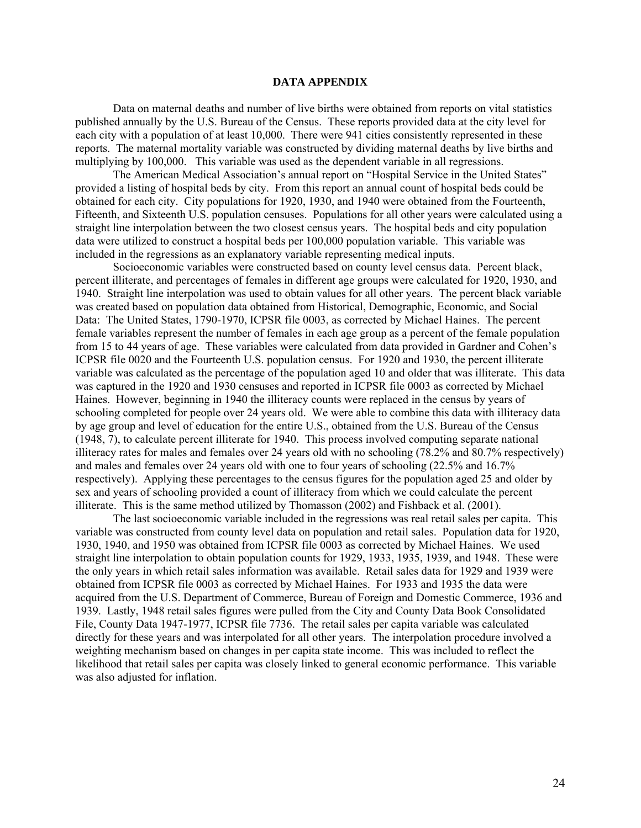#### **DATA APPENDIX**

Data on maternal deaths and number of live births were obtained from reports on vital statistics published annually by the U.S. Bureau of the Census. These reports provided data at the city level for each city with a population of at least 10,000. There were 941 cities consistently represented in these reports. The maternal mortality variable was constructed by dividing maternal deaths by live births and multiplying by 100,000. This variable was used as the dependent variable in all regressions.

The American Medical Association's annual report on "Hospital Service in the United States" provided a listing of hospital beds by city. From this report an annual count of hospital beds could be obtained for each city. City populations for 1920, 1930, and 1940 were obtained from the Fourteenth, Fifteenth, and Sixteenth U.S. population censuses. Populations for all other years were calculated using a straight line interpolation between the two closest census years. The hospital beds and city population data were utilized to construct a hospital beds per 100,000 population variable. This variable was included in the regressions as an explanatory variable representing medical inputs.

Socioeconomic variables were constructed based on county level census data. Percent black, percent illiterate, and percentages of females in different age groups were calculated for 1920, 1930, and 1940. Straight line interpolation was used to obtain values for all other years. The percent black variable was created based on population data obtained from Historical, Demographic, Economic, and Social Data: The United States, 1790-1970, ICPSR file 0003, as corrected by Michael Haines. The percent female variables represent the number of females in each age group as a percent of the female population from 15 to 44 years of age. These variables were calculated from data provided in Gardner and Cohen's ICPSR file 0020 and the Fourteenth U.S. population census. For 1920 and 1930, the percent illiterate variable was calculated as the percentage of the population aged 10 and older that was illiterate. This data was captured in the 1920 and 1930 censuses and reported in ICPSR file 0003 as corrected by Michael Haines. However, beginning in 1940 the illiteracy counts were replaced in the census by years of schooling completed for people over 24 years old. We were able to combine this data with illiteracy data by age group and level of education for the entire U.S., obtained from the U.S. Bureau of the Census (1948, 7), to calculate percent illiterate for 1940. This process involved computing separate national illiteracy rates for males and females over 24 years old with no schooling (78.2% and 80.7% respectively) and males and females over 24 years old with one to four years of schooling (22.5% and 16.7% respectively). Applying these percentages to the census figures for the population aged 25 and older by sex and years of schooling provided a count of illiteracy from which we could calculate the percent illiterate. This is the same method utilized by Thomasson (2002) and Fishback et al. (2001).

The last socioeconomic variable included in the regressions was real retail sales per capita. This variable was constructed from county level data on population and retail sales. Population data for 1920, 1930, 1940, and 1950 was obtained from ICPSR file 0003 as corrected by Michael Haines. We used straight line interpolation to obtain population counts for 1929, 1933, 1935, 1939, and 1948. These were the only years in which retail sales information was available. Retail sales data for 1929 and 1939 were obtained from ICPSR file 0003 as corrected by Michael Haines. For 1933 and 1935 the data were acquired from the U.S. Department of Commerce, Bureau of Foreign and Domestic Commerce, 1936 and 1939. Lastly, 1948 retail sales figures were pulled from the City and County Data Book Consolidated File, County Data 1947-1977, ICPSR file 7736. The retail sales per capita variable was calculated directly for these years and was interpolated for all other years. The interpolation procedure involved a weighting mechanism based on changes in per capita state income. This was included to reflect the likelihood that retail sales per capita was closely linked to general economic performance. This variable was also adjusted for inflation.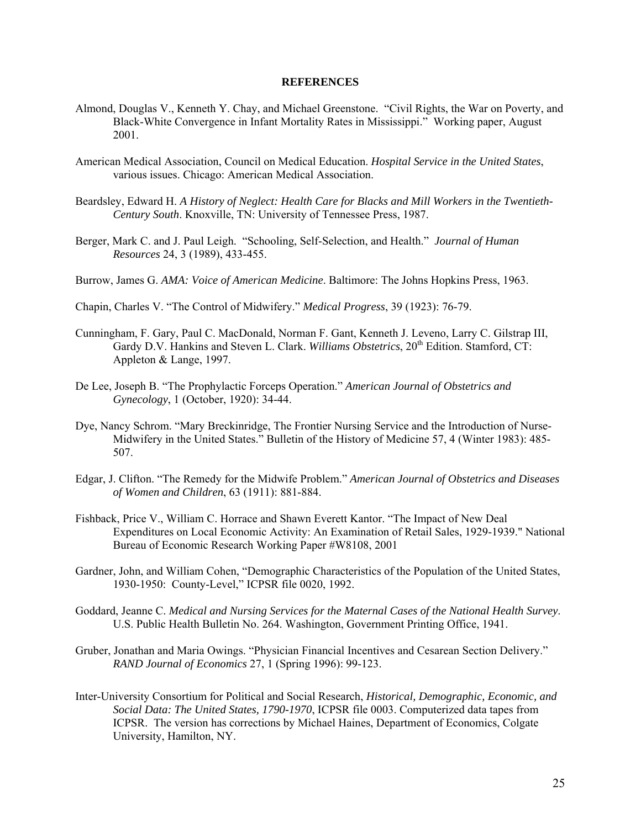#### **REFERENCES**

- Almond, Douglas V., Kenneth Y. Chay, and Michael Greenstone. "Civil Rights, the War on Poverty, and Black-White Convergence in Infant Mortality Rates in Mississippi." Working paper, August 2001.
- American Medical Association, Council on Medical Education. *Hospital Service in the United States*, various issues. Chicago: American Medical Association.
- Beardsley, Edward H. *A History of Neglect: Health Care for Blacks and Mill Workers in the Twentieth-Century South*. Knoxville, TN: University of Tennessee Press, 1987.
- Berger, Mark C. and J. Paul Leigh. "Schooling, Self-Selection, and Health." *Journal of Human Resources* 24, 3 (1989), 433-455.
- Burrow, James G. *AMA: Voice of American Medicine*. Baltimore: The Johns Hopkins Press, 1963.
- Chapin, Charles V. "The Control of Midwifery." *Medical Progress*, 39 (1923): 76-79.
- Cunningham, F. Gary, Paul C. MacDonald, Norman F. Gant, Kenneth J. Leveno, Larry C. Gilstrap III, Gardy D.V. Hankins and Steven L. Clark. *Williams Obstetrics*, 20<sup>th</sup> Edition. Stamford, CT: Appleton & Lange, 1997.
- De Lee, Joseph B. "The Prophylactic Forceps Operation." *American Journal of Obstetrics and Gynecology*, 1 (October, 1920): 34-44.
- Dye, Nancy Schrom. "Mary Breckinridge, The Frontier Nursing Service and the Introduction of Nurse-Midwifery in the United States." Bulletin of the History of Medicine 57, 4 (Winter 1983): 485- 507.
- Edgar, J. Clifton. "The Remedy for the Midwife Problem." *American Journal of Obstetrics and Diseases of Women and Children*, 63 (1911): 881-884.
- Fishback, Price V., William C. Horrace and Shawn Everett Kantor. "The Impact of New Deal Expenditures on Local Economic Activity: An Examination of Retail Sales, 1929-1939." National Bureau of Economic Research Working Paper #W8108, 2001
- Gardner, John, and William Cohen, "Demographic Characteristics of the Population of the United States, 1930-1950: County-Level," ICPSR file 0020, 1992.
- Goddard, Jeanne C. *Medical and Nursing Services for the Maternal Cases of the National Health Survey*. U.S. Public Health Bulletin No. 264. Washington, Government Printing Office, 1941.
- Gruber, Jonathan and Maria Owings. "Physician Financial Incentives and Cesarean Section Delivery." *RAND Journal of Economics* 27, 1 (Spring 1996): 99-123.
- Inter-University Consortium for Political and Social Research, *Historical, Demographic, Economic, and Social Data: The United States, 1790-1970*, ICPSR file 0003. Computerized data tapes from ICPSR. The version has corrections by Michael Haines, Department of Economics, Colgate University, Hamilton, NY.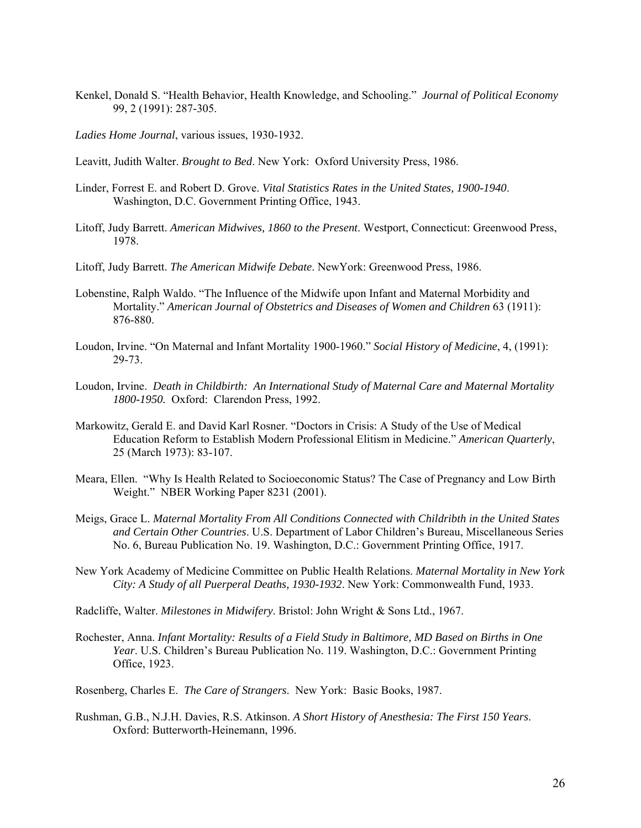Kenkel, Donald S. "Health Behavior, Health Knowledge, and Schooling." *Journal of Political Economy* 99, 2 (1991): 287-305.

*Ladies Home Journal*, various issues, 1930-1932.

Leavitt, Judith Walter. *Brought to Bed*. New York: Oxford University Press, 1986.

- Linder, Forrest E. and Robert D. Grove. *Vital Statistics Rates in the United States, 1900-1940*. Washington, D.C. Government Printing Office, 1943.
- Litoff, Judy Barrett. *American Midwives, 1860 to the Present*. Westport, Connecticut: Greenwood Press, 1978.
- Litoff, Judy Barrett. *The American Midwife Debate*. NewYork: Greenwood Press, 1986.
- Lobenstine, Ralph Waldo. "The Influence of the Midwife upon Infant and Maternal Morbidity and Mortality." *American Journal of Obstetrics and Diseases of Women and Children* 63 (1911): 876-880.
- Loudon, Irvine. "On Maternal and Infant Mortality 1900-1960." *Social History of Medicine*, 4, (1991): 29-73.
- Loudon, Irvine. *Death in Childbirth: An International Study of Maternal Care and Maternal Mortality 1800-1950.* Oxford: Clarendon Press, 1992.
- Markowitz, Gerald E. and David Karl Rosner. "Doctors in Crisis: A Study of the Use of Medical Education Reform to Establish Modern Professional Elitism in Medicine." *American Quarterly*, 25 (March 1973): 83-107.
- Meara, Ellen. "Why Is Health Related to Socioeconomic Status? The Case of Pregnancy and Low Birth Weight." NBER Working Paper 8231 (2001).
- Meigs, Grace L. *Maternal Mortality From All Conditions Connected with Childribth in the United States and Certain Other Countries*. U.S. Department of Labor Children's Bureau, Miscellaneous Series No. 6, Bureau Publication No. 19. Washington, D.C.: Government Printing Office, 1917.
- New York Academy of Medicine Committee on Public Health Relations. *Maternal Mortality in New York City: A Study of all Puerperal Deaths, 1930-1932*. New York: Commonwealth Fund, 1933.
- Radcliffe, Walter. *Milestones in Midwifery*. Bristol: John Wright & Sons Ltd., 1967.
- Rochester, Anna. *Infant Mortality: Results of a Field Study in Baltimore, MD Based on Births in One Year*. U.S. Children's Bureau Publication No. 119. Washington, D.C.: Government Printing Office, 1923.
- Rosenberg, Charles E. *The Care of Strangers*. New York: Basic Books, 1987.
- Rushman, G.B., N.J.H. Davies, R.S. Atkinson. *A Short History of Anesthesia: The First 150 Years*. Oxford: Butterworth-Heinemann, 1996.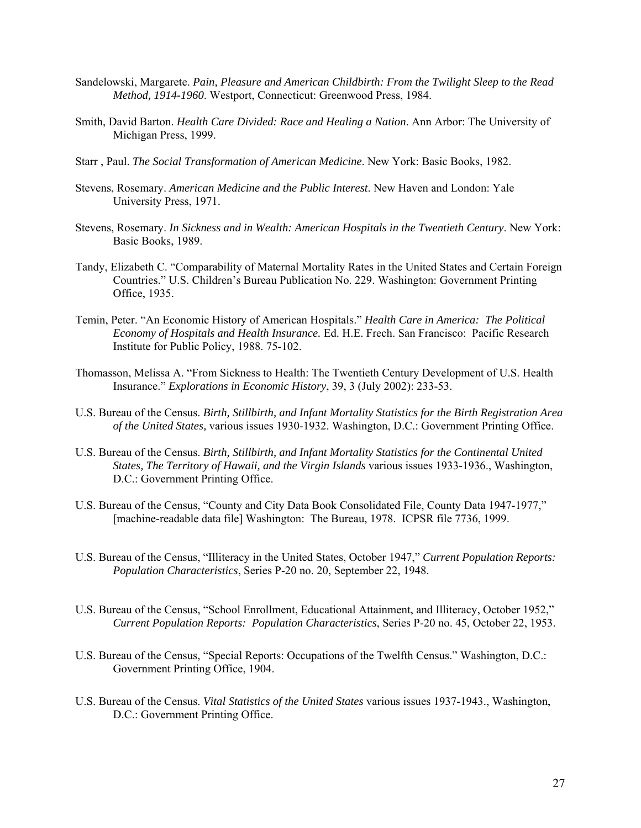- Sandelowski, Margarete. *Pain, Pleasure and American Childbirth: From the Twilight Sleep to the Read Method, 1914-1960*. Westport, Connecticut: Greenwood Press, 1984.
- Smith, David Barton. *Health Care Divided: Race and Healing a Nation*. Ann Arbor: The University of Michigan Press, 1999.
- Starr , Paul. *The Social Transformation of American Medicine*. New York: Basic Books, 1982.
- Stevens, Rosemary. *American Medicine and the Public Interest*. New Haven and London: Yale University Press, 1971.
- Stevens, Rosemary. *In Sickness and in Wealth: American Hospitals in the Twentieth Century*. New York: Basic Books, 1989.
- Tandy, Elizabeth C. "Comparability of Maternal Mortality Rates in the United States and Certain Foreign Countries." U.S. Children's Bureau Publication No. 229. Washington: Government Printing Office, 1935.
- Temin, Peter. "An Economic History of American Hospitals." *Health Care in America: The Political Economy of Hospitals and Health Insurance.* Ed. H.E. Frech. San Francisco: Pacific Research Institute for Public Policy, 1988. 75-102.
- Thomasson, Melissa A. "From Sickness to Health: The Twentieth Century Development of U.S. Health Insurance." *Explorations in Economic History*, 39, 3 (July 2002): 233-53.
- U.S. Bureau of the Census. *Birth, Stillbirth, and Infant Mortality Statistics for the Birth Registration Area of the United States,* various issues 1930-1932. Washington, D.C.: Government Printing Office.
- U.S. Bureau of the Census. *Birth, Stillbirth, and Infant Mortality Statistics for the Continental United States, The Territory of Hawaii, and the Virgin Islands* various issues 1933-1936., Washington, D.C.: Government Printing Office.
- U.S. Bureau of the Census, "County and City Data Book Consolidated File, County Data 1947-1977," [machine-readable data file] Washington: The Bureau, 1978. ICPSR file 7736, 1999.
- U.S. Bureau of the Census, "Illiteracy in the United States, October 1947," *Current Population Reports: Population Characteristics*, Series P-20 no. 20, September 22, 1948.
- U.S. Bureau of the Census, "School Enrollment, Educational Attainment, and Illiteracy, October 1952," *Current Population Reports: Population Characteristics*, Series P-20 no. 45, October 22, 1953.
- U.S. Bureau of the Census, "Special Reports: Occupations of the Twelfth Census." Washington, D.C.: Government Printing Office, 1904.
- U.S. Bureau of the Census. *Vital Statistics of the United States* various issues 1937-1943., Washington, D.C.: Government Printing Office.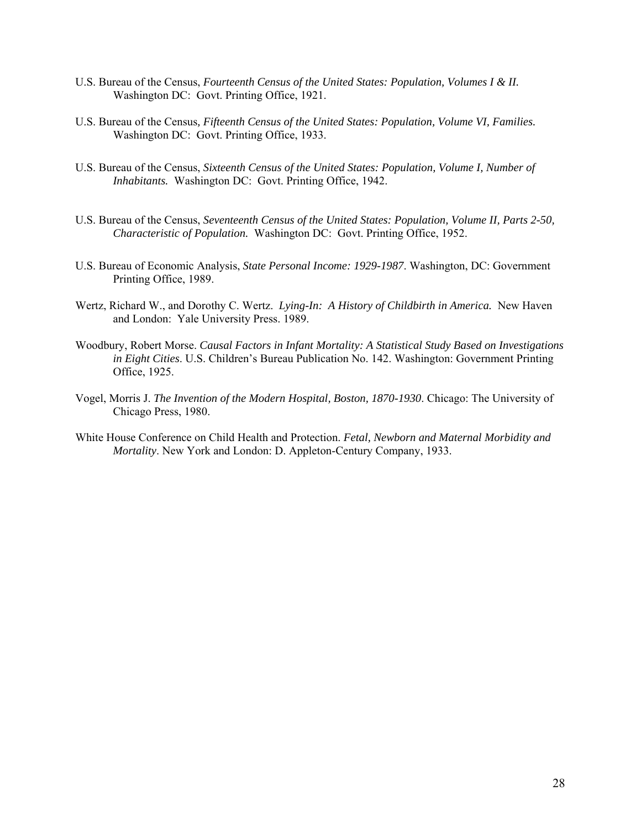- U.S. Bureau of the Census, *Fourteenth Census of the United States: Population, Volumes I & II.* Washington DC: Govt. Printing Office, 1921.
- U.S. Bureau of the Census*, Fifteenth Census of the United States: Population, Volume VI, Families.* Washington DC: Govt. Printing Office, 1933.
- U.S. Bureau of the Census, *Sixteenth Census of the United States: Population, Volume I, Number of Inhabitants.* Washington DC: Govt. Printing Office, 1942.
- U.S. Bureau of the Census, *Seventeenth Census of the United States: Population, Volume II, Parts 2-50, Characteristic of Population.* Washington DC: Govt. Printing Office, 1952.
- U.S. Bureau of Economic Analysis, *State Personal Income: 1929-1987*. Washington, DC: Government Printing Office, 1989.
- Wertz, Richard W., and Dorothy C. Wertz. *Lying-In: A History of Childbirth in America.* New Haven and London: Yale University Press. 1989.
- Woodbury, Robert Morse. *Causal Factors in Infant Mortality: A Statistical Study Based on Investigations in Eight Cities*. U.S. Children's Bureau Publication No. 142. Washington: Government Printing Office, 1925.
- Vogel, Morris J. *The Invention of the Modern Hospital, Boston, 1870-1930*. Chicago: The University of Chicago Press, 1980.
- White House Conference on Child Health and Protection. *Fetal, Newborn and Maternal Morbidity and Mortality*. New York and London: D. Appleton-Century Company, 1933.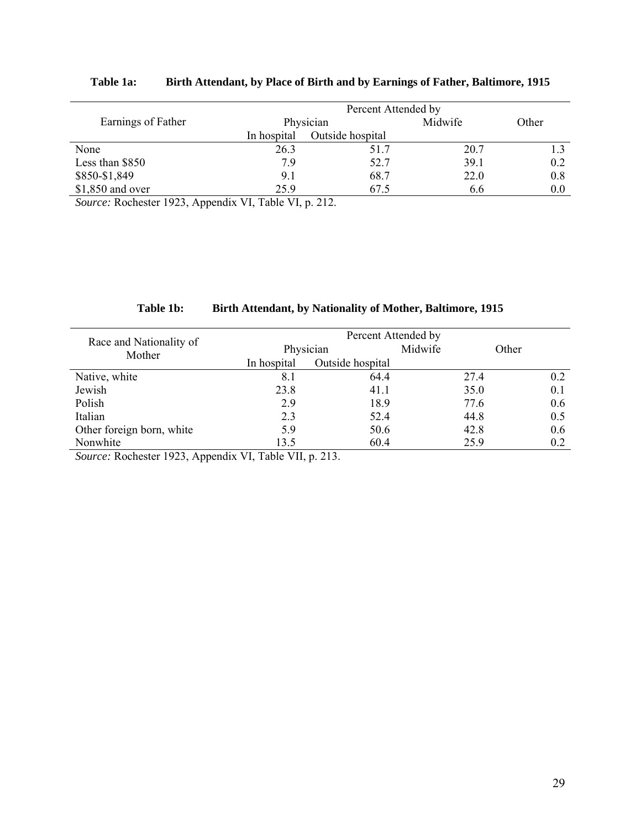|                    | Percent Attended by |                  |         |       |  |
|--------------------|---------------------|------------------|---------|-------|--|
| Earnings of Father | Physician           |                  | Midwife | Other |  |
|                    | In hospital         | Outside hospital |         |       |  |
| None               | 26.3                | 51.7             | 20.7    |       |  |
| Less than \$850    | 79                  | 52.7             | 39.1    | 0.2   |  |
| \$850-\$1,849      | 9.1                 | 68.7             | 22.0    | 0.8   |  |
| $$1,850$ and over  | 25.9                | 67.5             | 6.6     | 0.0   |  |

# **Table 1a: Birth Attendant, by Place of Birth and by Earnings of Father, Baltimore, 1915**

*Source:* Rochester 1923, Appendix VI, Table VI, p. 212.

| Table 1b: | <b>Birth Attendant, by Nationality of Mother, Baltimore, 1915</b> |  |  |  |  |
|-----------|-------------------------------------------------------------------|--|--|--|--|
|-----------|-------------------------------------------------------------------|--|--|--|--|

|                                   | Percent Attended by |                  |         |       |  |
|-----------------------------------|---------------------|------------------|---------|-------|--|
| Race and Nationality of<br>Mother | Physician           |                  | Midwife | Other |  |
|                                   | In hospital         | Outside hospital |         |       |  |
| Native, white                     | 8.1                 | 64.4             | 27.4    | 0.2   |  |
| Jewish                            | 23.8                | 41.1             | 35.0    | 0.1   |  |
| Polish                            | 2.9                 | 18.9             | 77.6    | 0.6   |  |
| Italian                           | 2.3                 | 52.4             | 44.8    | 0.5   |  |
| Other foreign born, white         | 5.9                 | 50.6             | 42.8    | 0.6   |  |
| Nonwhite                          | 13.5                | 60.4             | 25.9    | 0.2   |  |

*Source:* Rochester 1923, Appendix VI, Table VII, p. 213.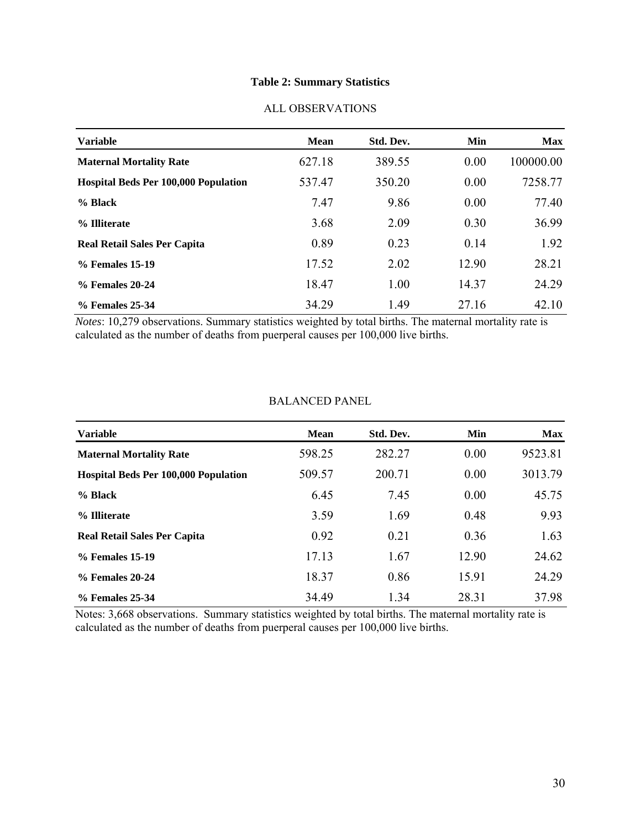# **Table 2: Summary Statistics**

| <b>Variable</b>                             | <b>Mean</b> | Std. Dev. | <b>Min</b> | <b>Max</b> |
|---------------------------------------------|-------------|-----------|------------|------------|
| <b>Maternal Mortality Rate</b>              | 627.18      | 389.55    | 0.00       | 100000.00  |
| <b>Hospital Beds Per 100,000 Population</b> | 537.47      | 350.20    | 0.00       | 7258.77    |
| % Black                                     | 7.47        | 9.86      | 0.00       | 77.40      |
| % Illiterate                                | 3.68        | 2.09      | 0.30       | 36.99      |
| <b>Real Retail Sales Per Capita</b>         | 0.89        | 0.23      | 0.14       | 1.92       |
| % Females 15-19                             | 17.52       | 2.02      | 12.90      | 28.21      |
| % Females 20-24                             | 18.47       | 1.00      | 14.37      | 24.29      |
| % Females 25-34                             | 34.29       | 1.49      | 27.16      | 42.10      |

### ALL OBSERVATIONS

*Notes*: 10,279 observations. Summary statistics weighted by total births. The maternal mortality rate is calculated as the number of deaths from puerperal causes per 100,000 live births.

### BALANCED PANEL

| <b>Variable</b>                             | <b>Mean</b> | Std. Dev. | Min   | <b>Max</b> |
|---------------------------------------------|-------------|-----------|-------|------------|
| <b>Maternal Mortality Rate</b>              | 598.25      | 282.27    | 0.00  | 9523.81    |
| <b>Hospital Beds Per 100,000 Population</b> | 509.57      | 200.71    | 0.00  | 3013.79    |
| % Black                                     | 6.45        | 7.45      | 0.00  | 45.75      |
| % Illiterate                                | 3.59        | 1.69      | 0.48  | 9.93       |
| <b>Real Retail Sales Per Capita</b>         | 0.92        | 0.21      | 0.36  | 1.63       |
| % Females 15-19                             | 17.13       | 1.67      | 12.90 | 24.62      |
| % Females 20-24                             | 18.37       | 0.86      | 15.91 | 24.29      |
| % Females 25-34                             | 34.49       | 1.34      | 28.31 | 37.98      |

Notes: 3,668 observations. Summary statistics weighted by total births. The maternal mortality rate is calculated as the number of deaths from puerperal causes per 100,000 live births.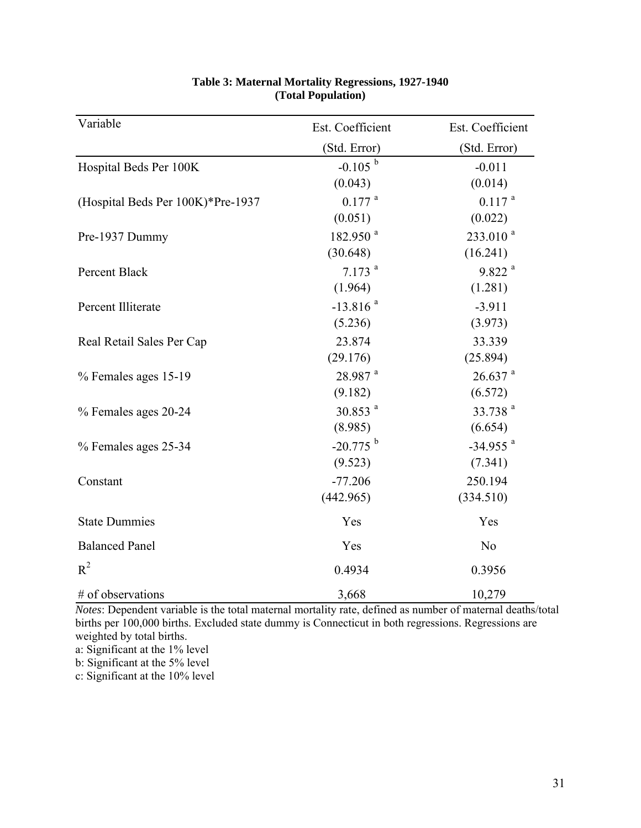| Variable                          | Est. Coefficient       | Est. Coefficient       |
|-----------------------------------|------------------------|------------------------|
|                                   | (Std. Error)           | (Std. Error)           |
| Hospital Beds Per 100K            | $-0.105$ <sup>b</sup>  | $-0.011$               |
|                                   | (0.043)                | (0.014)                |
| (Hospital Beds Per 100K)*Pre-1937 | $0.177$ <sup>a</sup>   | $0.117$ <sup>a</sup>   |
|                                   | (0.051)                | (0.022)                |
| Pre-1937 Dummy                    | 182.950 <sup>a</sup>   | $233.010^{a}$          |
|                                   | (30.648)               | (16.241)               |
| Percent Black                     | $7.173$ <sup>a</sup>   | $9.822$ <sup>a</sup>   |
|                                   | (1.964)                | (1.281)                |
| Percent Illiterate                | $-13.816$ <sup>a</sup> | $-3.911$               |
|                                   | (5.236)                | (3.973)                |
| Real Retail Sales Per Cap         | 23.874                 | 33.339                 |
|                                   | (29.176)               | (25.894)               |
| % Females ages 15-19              | 28.987 <sup>a</sup>    | $26.637$ <sup>a</sup>  |
|                                   | (9.182)                | (6.572)                |
| % Females ages 20-24              | $30.853$ <sup>a</sup>  | 33.738 <sup>a</sup>    |
|                                   | (8.985)                | (6.654)                |
| % Females ages 25-34              | $-20.775$ <sup>b</sup> | $-34.955$ <sup>a</sup> |
|                                   | (9.523)                | (7.341)                |
| Constant                          | $-77.206$              | 250.194                |
|                                   | (442.965)              | (334.510)              |
| <b>State Dummies</b>              | Yes                    | Yes                    |
| <b>Balanced Panel</b>             | Yes                    | N <sub>o</sub>         |
| $R^2$                             | 0.4934                 | 0.3956                 |
| # of observations                 | 3,668                  | 10,279                 |

# **Table 3: Maternal Mortality Regressions, 1927-1940 (Total Population)**

*Notes*: Dependent variable is the total maternal mortality rate, defined as number of maternal deaths/total births per 100,000 births. Excluded state dummy is Connecticut in both regressions. Regressions are weighted by total births.

a: Significant at the 1% level

b: Significant at the 5% level

c: Significant at the 10% level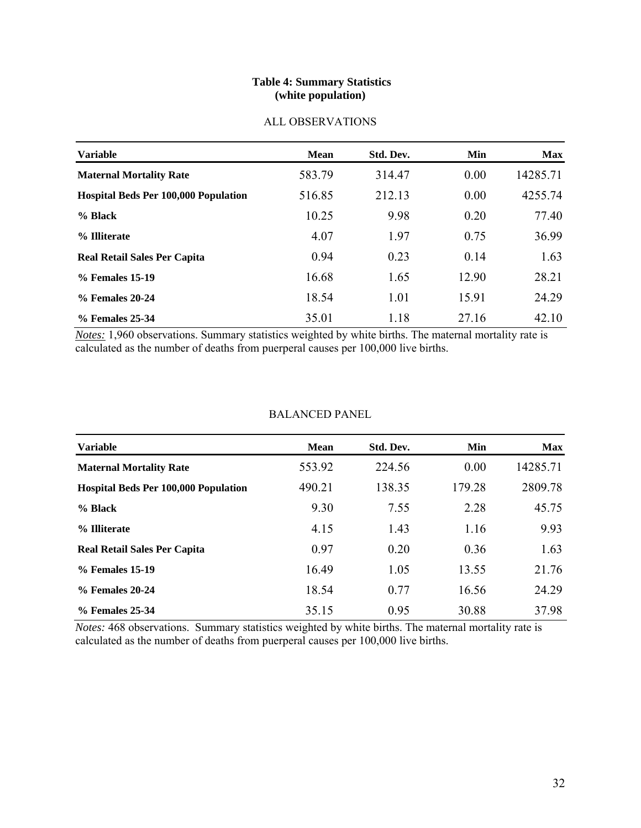### **Table 4: Summary Statistics (white population)**

| <b>Variable</b>                             | <b>Mean</b> | Std. Dev. | <b>Min</b> | <b>Max</b> |
|---------------------------------------------|-------------|-----------|------------|------------|
| <b>Maternal Mortality Rate</b>              | 583.79      | 314.47    | 0.00       | 14285.71   |
| <b>Hospital Beds Per 100,000 Population</b> | 516.85      | 212.13    | 0.00       | 4255.74    |
| $%$ Black                                   | 10.25       | 9.98      | 0.20       | 77.40      |
| % Illiterate                                | 4.07        | 1.97      | 0.75       | 36.99      |
| <b>Real Retail Sales Per Capita</b>         | 0.94        | 0.23      | 0.14       | 1.63       |
| % Females 15-19                             | 16.68       | 1.65      | 12.90      | 28.21      |
| % Females 20-24                             | 18.54       | 1.01      | 15.91      | 24.29      |
| % Females 25-34                             | 35.01       | 1.18      | 27.16      | 42.10      |

# ALL OBSERVATIONS

*Notes:* 1,960 observations. Summary statistics weighted by white births. The maternal mortality rate is calculated as the number of deaths from puerperal causes per 100,000 live births.

| <b>Variable</b>                             | <b>Mean</b> | Std. Dev. | Min    | <b>Max</b> |
|---------------------------------------------|-------------|-----------|--------|------------|
| <b>Maternal Mortality Rate</b>              | 553.92      | 224.56    | 0.00   | 14285.71   |
| <b>Hospital Beds Per 100,000 Population</b> | 490.21      | 138.35    | 179.28 | 2809.78    |
| % Black                                     | 9.30        | 7.55      | 2.28   | 45.75      |
| % Illiterate                                | 4.15        | 1.43      | 1.16   | 9.93       |
| <b>Real Retail Sales Per Capita</b>         | 0.97        | 0.20      | 0.36   | 1.63       |
| % Females 15-19                             | 16.49       | 1.05      | 13.55  | 21.76      |
| % Females 20-24                             | 18.54       | 0.77      | 16.56  | 24.29      |
| % Females 25-34                             | 35.15       | 0.95      | 30.88  | 37.98      |

*Notes:* 468 observations. Summary statistics weighted by white births. The maternal mortality rate is calculated as the number of deaths from puerperal causes per 100,000 live births.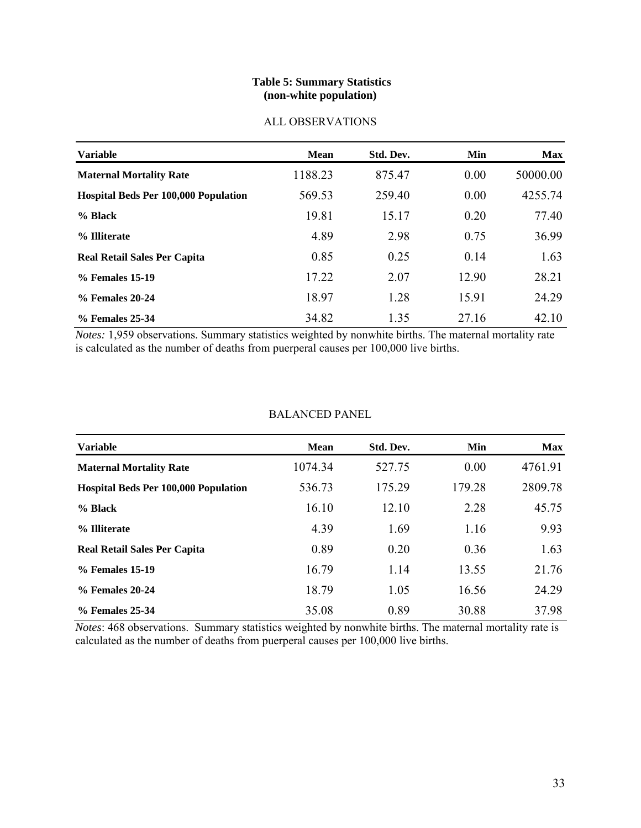### **Table 5: Summary Statistics (non-white population)**

|  | ALL OBSERVATIONS |
|--|------------------|
|--|------------------|

| <b>Variable</b>                             | <b>Mean</b> | Std. Dev. | <b>Min</b> | <b>Max</b> |
|---------------------------------------------|-------------|-----------|------------|------------|
| <b>Maternal Mortality Rate</b>              | 1188.23     | 875.47    | 0.00       | 50000.00   |
| <b>Hospital Beds Per 100,000 Population</b> | 569.53      | 259.40    | 0.00       | 4255.74    |
| % Black                                     | 19.81       | 15.17     | 0.20       | 77.40      |
| % Illiterate                                | 4.89        | 2.98      | 0.75       | 36.99      |
| <b>Real Retail Sales Per Capita</b>         | 0.85        | 0.25      | 0.14       | 1.63       |
| % Females 15-19                             | 17.22       | 2.07      | 12.90      | 28.21      |
| % Females 20-24                             | 18.97       | 1.28      | 15.91      | 24.29      |
| % Females 25-34                             | 34.82       | 1.35      | 27.16      | 42.10      |

*Notes:* 1,959 observations. Summary statistics weighted by nonwhite births. The maternal mortality rate is calculated as the number of deaths from puerperal causes per 100,000 live births.

| <b>BALANCED PANEL</b> |  |
|-----------------------|--|
|-----------------------|--|

| <b>Variable</b>                             | <b>Mean</b> | Std. Dev. | Min    | <b>Max</b> |
|---------------------------------------------|-------------|-----------|--------|------------|
| <b>Maternal Mortality Rate</b>              | 1074.34     | 527.75    | 0.00   | 4761.91    |
| <b>Hospital Beds Per 100,000 Population</b> | 536.73      | 175.29    | 179.28 | 2809.78    |
| % Black                                     | 16.10       | 12.10     | 2.28   | 45.75      |
| % Illiterate                                | 4.39        | 1.69      | 1.16   | 9.93       |
| <b>Real Retail Sales Per Capita</b>         | 0.89        | 0.20      | 0.36   | 1.63       |
| % Females 15-19                             | 16.79       | 1.14      | 13.55  | 21.76      |
| % Females 20-24                             | 18.79       | 1.05      | 16.56  | 24.29      |
| % Females 25-34                             | 35.08       | 0.89      | 30.88  | 37.98      |

*Notes*: 468 observations. Summary statistics weighted by nonwhite births. The maternal mortality rate is calculated as the number of deaths from puerperal causes per 100,000 live births.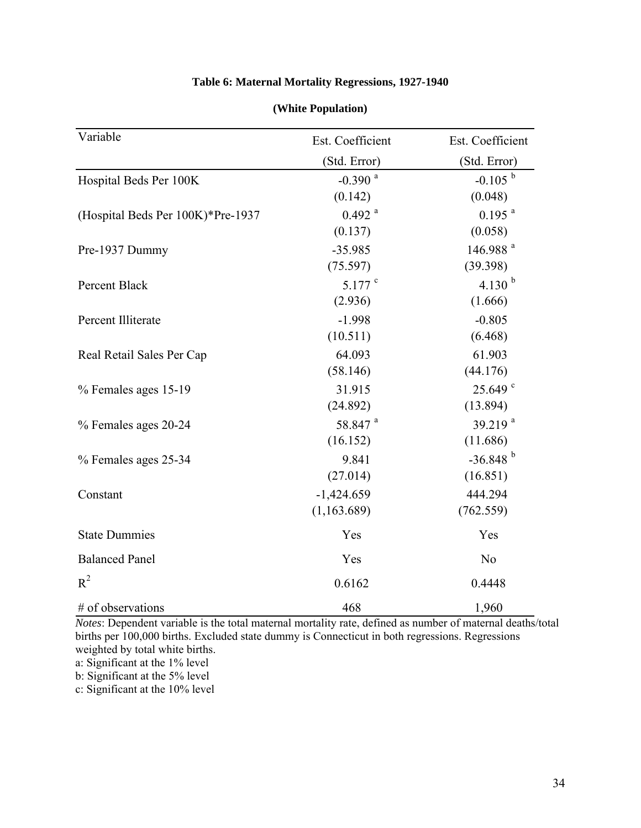| Table 6: Maternal Mortality Regressions, 1927-1940 |  |
|----------------------------------------------------|--|
|----------------------------------------------------|--|

| (White Population) |
|--------------------|
|                    |

| Variable                          | Est. Coefficient      | Est. Coefficient       |  |
|-----------------------------------|-----------------------|------------------------|--|
|                                   | (Std. Error)          | (Std. Error)           |  |
| Hospital Beds Per 100K            | $-0.390$ <sup>a</sup> | $-0.105$ <sup>b</sup>  |  |
|                                   | (0.142)               | (0.048)                |  |
| (Hospital Beds Per 100K)*Pre-1937 | $0.492$ <sup>a</sup>  | $0.195$ <sup>a</sup>   |  |
|                                   | (0.137)               | (0.058)                |  |
| Pre-1937 Dummy                    | $-35.985$             | 146.988 <sup>a</sup>   |  |
|                                   | (75.597)              | (39.398)               |  |
| Percent Black                     | $5.177$ $\degree$     | 4.130 $^{b}$           |  |
|                                   | (2.936)               | (1.666)                |  |
| Percent Illiterate                | $-1.998$              | $-0.805$               |  |
|                                   | (10.511)              | (6.468)                |  |
| Real Retail Sales Per Cap         | 64.093                | 61.903                 |  |
|                                   | (58.146)              | (44.176)               |  |
| % Females ages 15-19              | 31.915                | $25.649$ <sup>c</sup>  |  |
|                                   | (24.892)              | (13.894)               |  |
| % Females ages 20-24              | 58.847 <sup>a</sup>   | 39.219 $a$             |  |
|                                   | (16.152)              | (11.686)               |  |
| % Females ages 25-34              | 9.841                 | $-36.848$ <sup>b</sup> |  |
|                                   | (27.014)              | (16.851)               |  |
| Constant                          | $-1,424.659$          | 444.294                |  |
|                                   | (1, 163.689)          | (762.559)              |  |
| <b>State Dummies</b>              | Yes                   | Yes                    |  |
| <b>Balanced Panel</b>             | Yes                   | N <sub>o</sub>         |  |
| $R^2$                             | 0.6162                | 0.4448                 |  |
| # of observations                 | 468                   | 1,960                  |  |

*Notes*: Dependent variable is the total maternal mortality rate, defined as number of maternal deaths/total births per 100,000 births. Excluded state dummy is Connecticut in both regressions. Regressions weighted by total white births.

a: Significant at the 1% level

b: Significant at the 5% level

c: Significant at the 10% level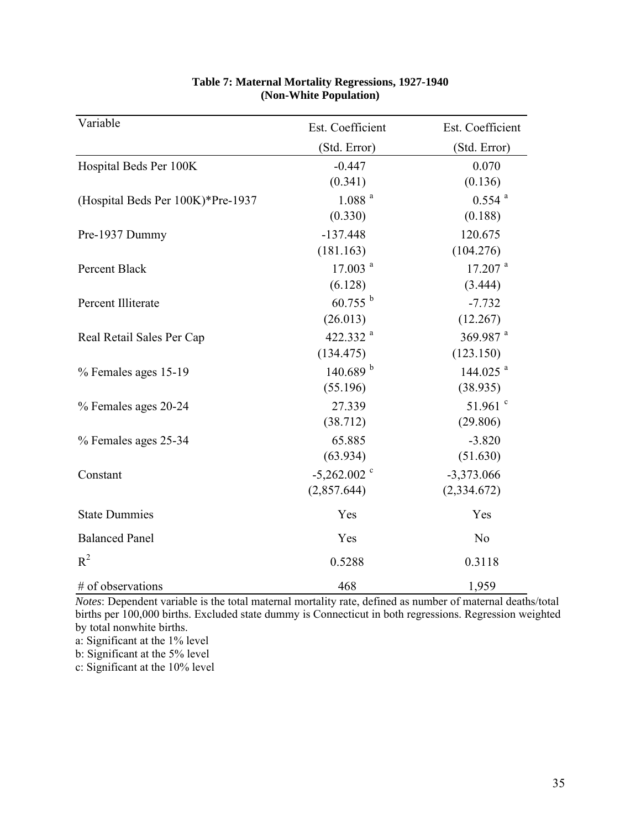| Variable                          | Est. Coefficient          | Est. Coefficient      |
|-----------------------------------|---------------------------|-----------------------|
|                                   | (Std. Error)              | (Std. Error)          |
| Hospital Beds Per 100K            | $-0.447$                  | 0.070                 |
|                                   | (0.341)                   | (0.136)               |
| (Hospital Beds Per 100K)*Pre-1937 | 1.088 <sup>a</sup>        | $0.554$ <sup>a</sup>  |
|                                   | (0.330)                   | (0.188)               |
| Pre-1937 Dummy                    | $-137.448$                | 120.675               |
|                                   | (181.163)                 | (104.276)             |
| Percent Black                     | $17.003$ <sup>a</sup>     | $17.207$ <sup>a</sup> |
|                                   | (6.128)                   | (3.444)               |
| Percent Illiterate                | $60.755^{b}$              | $-7.732$              |
|                                   | (26.013)                  | (12.267)              |
| Real Retail Sales Per Cap         | 422.332 <sup>a</sup>      | 369.987 <sup>a</sup>  |
|                                   | (134.475)                 | (123.150)             |
| % Females ages 15-19              | 140.689 <sup>b</sup>      | 144.025 $^{a}$        |
|                                   | (55.196)                  | (38.935)              |
| % Females ages 20-24              | 27.339                    | 51.961 $^{\circ}$     |
|                                   | (38.712)                  | (29.806)              |
| % Females ages 25-34              | 65.885                    | $-3.820$              |
|                                   | (63.934)                  | (51.630)              |
| Constant                          | $-5,262.002$ <sup>c</sup> | $-3,373.066$          |
|                                   | (2,857.644)               | (2,334.672)           |
| <b>State Dummies</b>              | Yes                       | Yes                   |
| <b>Balanced Panel</b>             | Yes                       | N <sub>o</sub>        |
| $R^2$                             | 0.5288                    | 0.3118                |
| # of observations                 | 468                       | 1,959                 |

### **Table 7: Maternal Mortality Regressions, 1927-1940 (Non-White Population)**

*Notes*: Dependent variable is the total maternal mortality rate, defined as number of maternal deaths/total births per 100,000 births. Excluded state dummy is Connecticut in both regressions. Regression weighted by total nonwhite births.

a: Significant at the 1% level

b: Significant at the 5% level

c: Significant at the 10% level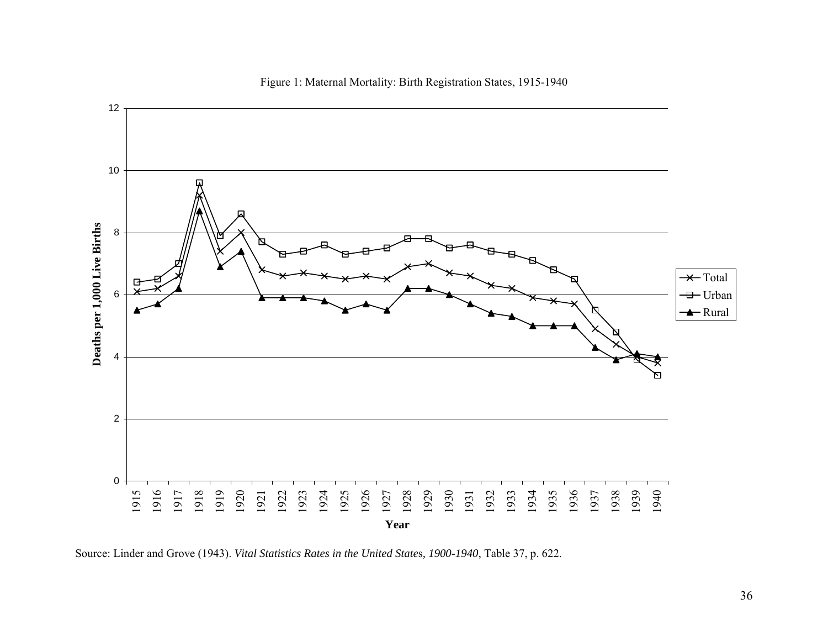

Figure 1: Maternal Mortality: Birth Registration States, 1915-1940

Source: Linder and Grove (1943). *Vital Statistics Rates in the United State*<sup>s</sup>*, 1900-1940*, Table 37, p. 622.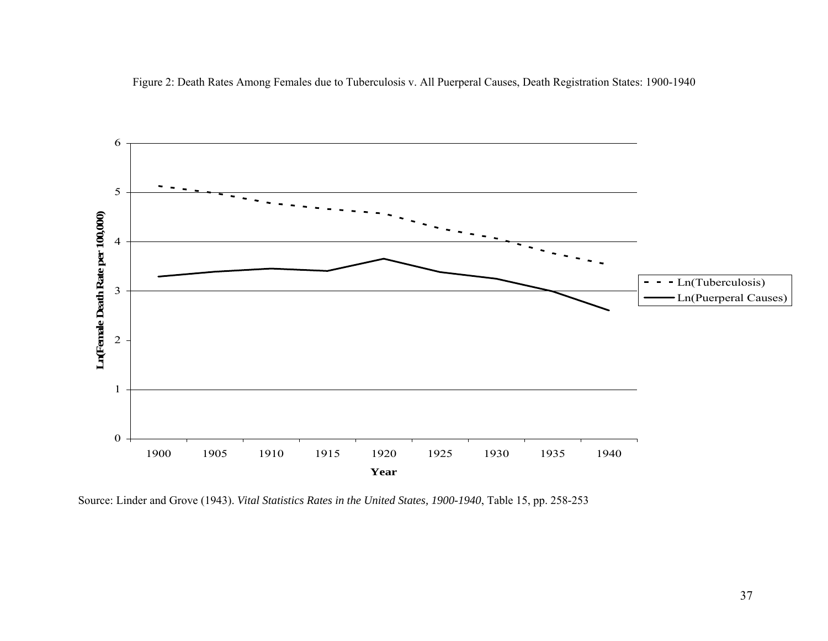Figure 2: Death Rates Among Females due to Tuberculosis v. All Puerperal Causes, Death Registration States: 1900-1940



Source: Linder and Grove (1943). *Vital Statistics Rates in the United States, 1900-1940*, Table 15, pp. 258-253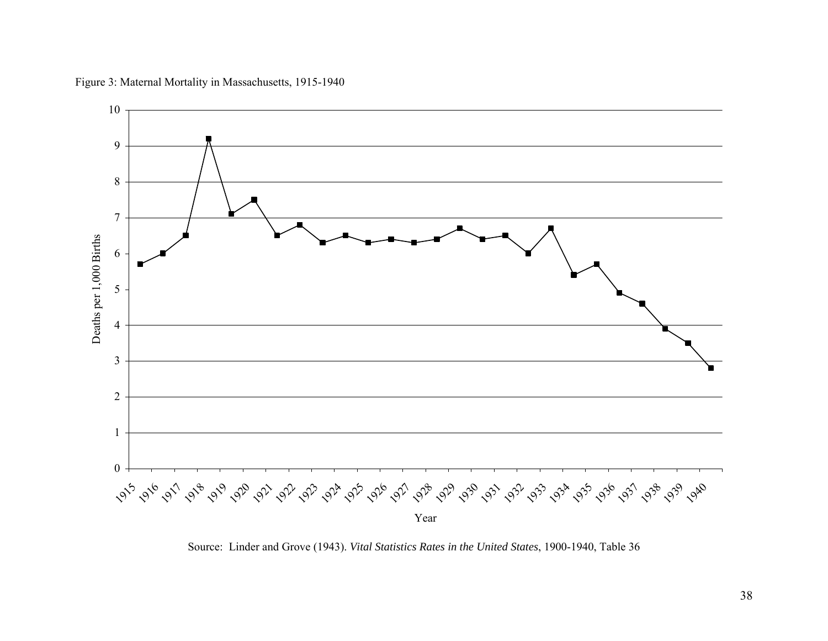

Figure 3: Maternal Mortality in Massachusetts, 1915-1940

Source: Linder and Grove (1943). *Vital Statistics Rates in the United States*, 1900-1940, Table 36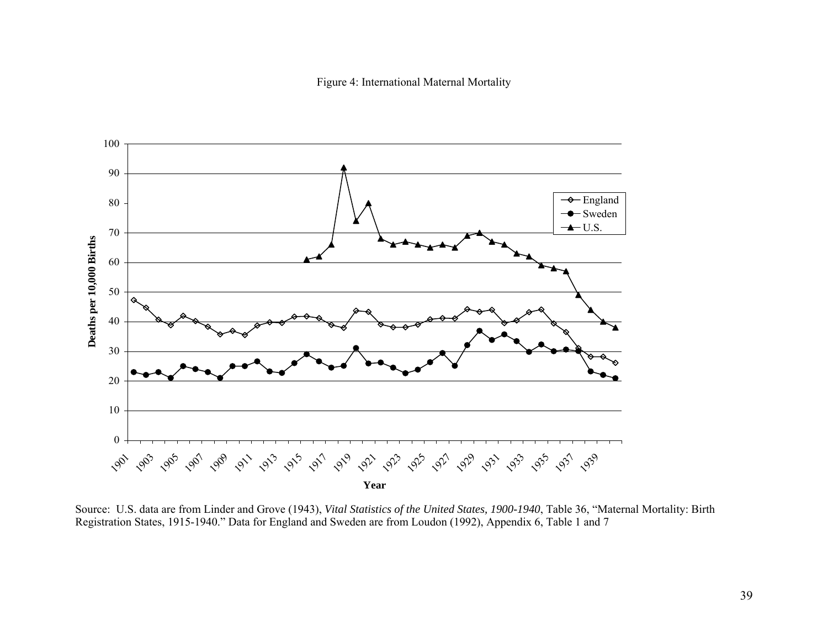Figure 4: International Maternal Mortality



Source: U.S. data are from Linder and Grove (1943), *Vital Statistics of the United States, 1900-1940*, Table 36, "Maternal Mortality: Birth Registration States, 1915-1940." Data for England and Sweden are from Loudon (1992), Appendix 6, Table 1 and 7